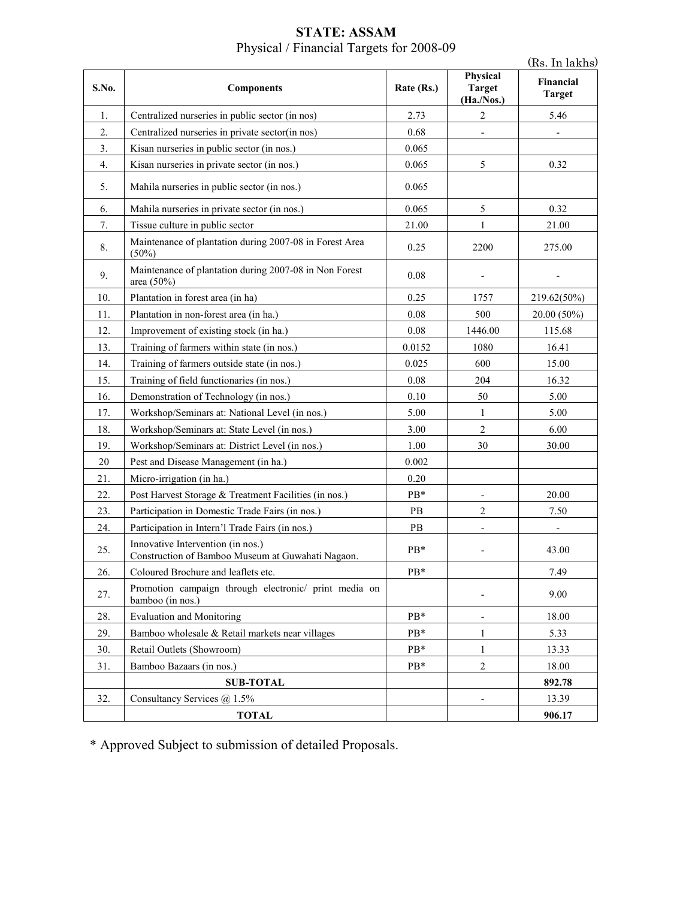| S.No. | <b>Components</b>                                                                      | Rate (Rs.)    | Physical<br><b>Target</b><br>(Ha./Nos.) | Financial<br><b>Target</b> |
|-------|----------------------------------------------------------------------------------------|---------------|-----------------------------------------|----------------------------|
| 1.    | Centralized nurseries in public sector (in nos)                                        | 2.73          | $\boldsymbol{2}$                        | 5.46                       |
| 2.    | Centralized nurseries in private sector(in nos)                                        | 0.68          |                                         |                            |
| 3.    | Kisan nurseries in public sector (in nos.)                                             | 0.065         |                                         |                            |
| 4.    | Kisan nurseries in private sector (in nos.)                                            | 0.065         | 5                                       | 0.32                       |
| 5.    | Mahila nurseries in public sector (in nos.)                                            | 0.065         |                                         |                            |
| 6.    | Mahila nurseries in private sector (in nos.)                                           | 0.065         | 5                                       | 0.32                       |
| 7.    | Tissue culture in public sector                                                        | 21.00         | 1                                       | 21.00                      |
| 8.    | Maintenance of plantation during 2007-08 in Forest Area<br>$(50\%)$                    | 0.25          | 2200                                    | 275.00                     |
| 9.    | Maintenance of plantation during 2007-08 in Non Forest<br>area $(50\%)$                | 0.08          |                                         |                            |
| 10.   | Plantation in forest area (in ha)                                                      | 0.25          | 1757                                    | 219.62(50%)                |
| 11.   | Plantation in non-forest area (in ha.)                                                 | 0.08          | 500                                     | 20.00 (50%)                |
| 12.   | Improvement of existing stock (in ha.)                                                 | 0.08          | 1446.00                                 | 115.68                     |
| 13.   | Training of farmers within state (in nos.)                                             | 0.0152        | 1080                                    | 16.41                      |
| 14.   | Training of farmers outside state (in nos.)                                            | 0.025         | 600                                     | 15.00                      |
| 15.   | Training of field functionaries (in nos.)                                              | 0.08          | 204                                     | 16.32                      |
| 16.   | Demonstration of Technology (in nos.)                                                  | $0.10\,$      | 50                                      | 5.00                       |
| 17.   | Workshop/Seminars at: National Level (in nos.)                                         | 5.00          | 1                                       | 5.00                       |
| 18.   | Workshop/Seminars at: State Level (in nos.)                                            | 3.00          | $\overline{2}$                          | 6.00                       |
| 19.   | Workshop/Seminars at: District Level (in nos.)                                         | 1.00          | 30                                      | 30.00                      |
| 20    | Pest and Disease Management (in ha.)                                                   | 0.002         |                                         |                            |
| 21.   | Micro-irrigation (in ha.)                                                              | 0.20          |                                         |                            |
| 22.   | Post Harvest Storage & Treatment Facilities (in nos.)                                  | PB*           | $\overline{\phantom{0}}$                | 20.00                      |
| 23.   | Participation in Domestic Trade Fairs (in nos.)                                        | $\mathbf{PB}$ | $\overline{c}$                          | 7.50                       |
| 24.   | Participation in Intern'l Trade Fairs (in nos.)                                        | PB            |                                         |                            |
| 25.   | Innovative Intervention (in nos.)<br>Construction of Bamboo Museum at Guwahati Nagaon. | PB*           |                                         | 43.00                      |
| 26.   | Coloured Brochure and leaflets etc.                                                    | PB*           |                                         | 7.49                       |
| 27.   | Promotion campaign through electronic/ print media on<br>bamboo (in nos.)              |               |                                         | 9.00                       |
| 28.   | <b>Evaluation and Monitoring</b>                                                       | PB*           | $\overline{\phantom{a}}$                | 18.00                      |
| 29.   | Bamboo wholesale & Retail markets near villages                                        | $PB*$         | 1                                       | 5.33                       |
| 30.   | Retail Outlets (Showroom)                                                              | $PB*$         | $\mathbf{1}$                            | 13.33                      |
| 31.   | Bamboo Bazaars (in nos.)                                                               | $PB*$         | $\overline{2}$                          | 18.00                      |
|       | <b>SUB-TOTAL</b>                                                                       |               |                                         | 892.78                     |
| 32.   | Consultancy Services @ 1.5%                                                            |               | $\overline{\phantom{0}}$                | 13.39                      |
|       | <b>TOTAL</b>                                                                           |               |                                         | 906.17                     |

#### **STATE: ASSAM**  Physical / Financial Targets for 2008-09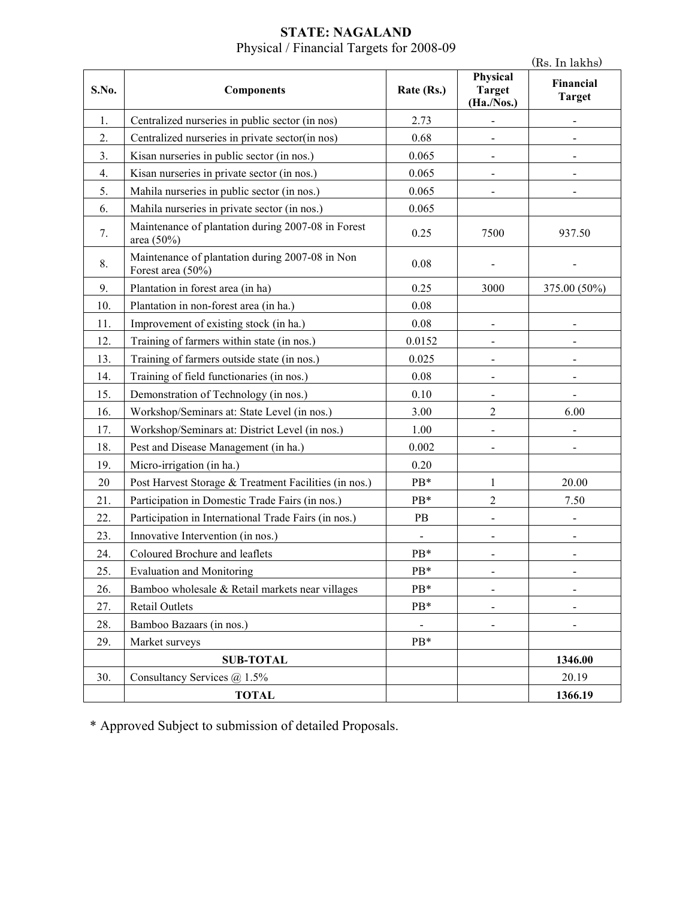#### **STATE: NAGALAND**  Physical / Financial Targets for 2008-09

|       |                                                                      |                          |                                         | (Rs. In lakhs)               |
|-------|----------------------------------------------------------------------|--------------------------|-----------------------------------------|------------------------------|
| S.No. | <b>Components</b>                                                    | Rate (Rs.)               | Physical<br><b>Target</b><br>(Ha./Nos.) | Financial<br><b>Target</b>   |
| 1.    | Centralized nurseries in public sector (in nos)                      | 2.73                     |                                         |                              |
| 2.    | Centralized nurseries in private sector(in nos)                      | 0.68                     |                                         |                              |
| 3.    | Kisan nurseries in public sector (in nos.)                           | 0.065                    | $\blacksquare$                          |                              |
| 4.    | Kisan nurseries in private sector (in nos.)                          | 0.065                    | $\overline{\phantom{a}}$                |                              |
| 5.    | Mahila nurseries in public sector (in nos.)                          | 0.065                    |                                         |                              |
| 6.    | Mahila nurseries in private sector (in nos.)                         | 0.065                    |                                         |                              |
| 7.    | Maintenance of plantation during 2007-08 in Forest<br>area (50%)     | 0.25                     | 7500                                    | 937.50                       |
| 8.    | Maintenance of plantation during 2007-08 in Non<br>Forest area (50%) | 0.08                     |                                         |                              |
| 9.    | Plantation in forest area (in ha)                                    | 0.25                     | 3000                                    | 375.00 (50%)                 |
| 10.   | Plantation in non-forest area (in ha.)                               | 0.08                     |                                         |                              |
| 11.   | Improvement of existing stock (in ha.)                               | 0.08                     |                                         |                              |
| 12.   | Training of farmers within state (in nos.)                           | 0.0152                   |                                         |                              |
| 13.   | Training of farmers outside state (in nos.)                          | 0.025                    | $\overline{\phantom{0}}$                |                              |
| 14.   | Training of field functionaries (in nos.)                            | 0.08                     | $\blacksquare$                          |                              |
| 15.   | Demonstration of Technology (in nos.)                                | 0.10                     | $\blacksquare$                          | $\blacksquare$               |
| 16.   | Workshop/Seminars at: State Level (in nos.)                          | 3.00                     | $\overline{c}$                          | 6.00                         |
| 17.   | Workshop/Seminars at: District Level (in nos.)                       | 1.00                     |                                         |                              |
| 18.   | Pest and Disease Management (in ha.)                                 | 0.002                    |                                         |                              |
| 19.   | Micro-irrigation (in ha.)                                            | 0.20                     |                                         |                              |
| 20    | Post Harvest Storage & Treatment Facilities (in nos.)                | PB*                      | 1                                       | 20.00                        |
| 21.   | Participation in Domestic Trade Fairs (in nos.)                      | PB*                      | $\overline{c}$                          | 7.50                         |
| 22.   | Participation in International Trade Fairs (in nos.)                 | PB                       |                                         |                              |
| 23.   | Innovative Intervention (in nos.)                                    | $\overline{\phantom{0}}$ | $\blacksquare$                          | $\qquad \qquad \blacksquare$ |
| 24.   | Coloured Brochure and leaflets                                       | PB*                      |                                         |                              |
| 25.   | <b>Evaluation and Monitoring</b>                                     | PB*                      | $\blacksquare$                          | $\overline{\phantom{a}}$     |
| 26.   | Bamboo wholesale & Retail markets near villages                      | PB*                      |                                         |                              |
| 27.   | <b>Retail Outlets</b>                                                | PB*                      |                                         |                              |
| 28.   | Bamboo Bazaars (in nos.)                                             | -                        | $\blacksquare$                          | $\blacksquare$               |
| 29.   | Market surveys                                                       | PB*                      |                                         |                              |
|       | <b>SUB-TOTAL</b>                                                     |                          |                                         | 1346.00                      |
| 30.   | Consultancy Services $@$ 1.5%                                        |                          |                                         | 20.19                        |
|       | <b>TOTAL</b>                                                         |                          |                                         | 1366.19                      |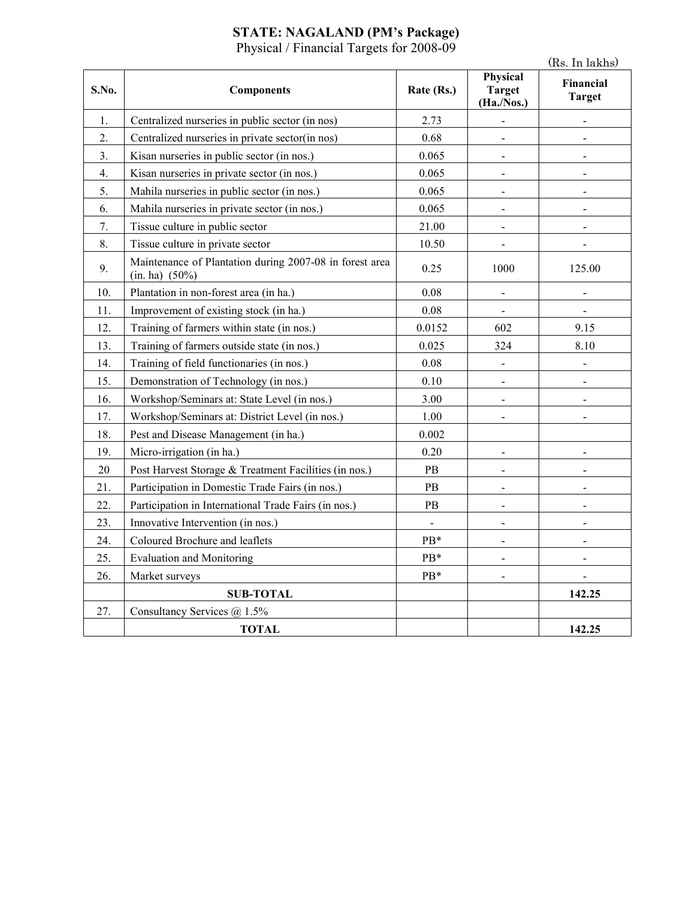#### **STATE: NAGALAND (PM's Package)**

Physical / Financial Targets for 2008-09

|       |                                                                           |                |                                         | (Rs. In lakhs)             |
|-------|---------------------------------------------------------------------------|----------------|-----------------------------------------|----------------------------|
| S.No. | <b>Components</b>                                                         | Rate (Rs.)     | Physical<br><b>Target</b><br>(Ha./Nos.) | Financial<br><b>Target</b> |
| 1.    | Centralized nurseries in public sector (in nos)                           | 2.73           | $\blacksquare$                          |                            |
| 2.    | Centralized nurseries in private sector(in nos)                           | 0.68           | $\blacksquare$                          | $\blacksquare$             |
| 3.    | Kisan nurseries in public sector (in nos.)                                | 0.065          | $\overline{a}$                          |                            |
| 4.    | Kisan nurseries in private sector (in nos.)                               | 0.065          | $\mathbf{r}$                            |                            |
| 5.    | Mahila nurseries in public sector (in nos.)                               | 0.065          |                                         |                            |
| 6.    | Mahila nurseries in private sector (in nos.)                              | 0.065          | $\qquad \qquad \blacksquare$            | $\overline{a}$             |
| 7.    | Tissue culture in public sector                                           | 21.00          | $\blacksquare$                          |                            |
| 8.    | Tissue culture in private sector                                          | 10.50          | $\blacksquare$                          |                            |
| 9.    | Maintenance of Plantation during 2007-08 in forest area<br>(in. ha) (50%) | 0.25           | 1000                                    | 125.00                     |
| 10.   | Plantation in non-forest area (in ha.)                                    | 0.08           | $\blacksquare$                          |                            |
| 11.   | Improvement of existing stock (in ha.)                                    | 0.08           | $\blacksquare$                          |                            |
| 12.   | Training of farmers within state (in nos.)                                | 0.0152         | 602                                     | 9.15                       |
| 13.   | Training of farmers outside state (in nos.)                               | 0.025          | 324                                     | 8.10                       |
| 14.   | Training of field functionaries (in nos.)                                 | 0.08           | $\blacksquare$                          | $\overline{\phantom{a}}$   |
| 15.   | Demonstration of Technology (in nos.)                                     | 0.10           | $\qquad \qquad \blacksquare$            |                            |
| 16.   | Workshop/Seminars at: State Level (in nos.)                               | 3.00           | $\overline{a}$                          |                            |
| 17.   | Workshop/Seminars at: District Level (in nos.)                            | 1.00           | $\blacksquare$                          | $\overline{\phantom{a}}$   |
| 18.   | Pest and Disease Management (in ha.)                                      | 0.002          |                                         |                            |
| 19.   | Micro-irrigation (in ha.)                                                 | 0.20           | $\blacksquare$                          |                            |
| 20    | Post Harvest Storage & Treatment Facilities (in nos.)                     | PB             |                                         |                            |
| 21.   | Participation in Domestic Trade Fairs (in nos.)                           | PB             | $\blacksquare$                          | $\blacksquare$             |
| 22.   | Participation in International Trade Fairs (in nos.)                      | PB             | $\overline{\phantom{a}}$                |                            |
| 23.   | Innovative Intervention (in nos.)                                         | $\overline{a}$ |                                         |                            |
| 24.   | Coloured Brochure and leaflets                                            | PB*            | $\blacksquare$                          | $\blacksquare$             |
| 25.   | <b>Evaluation and Monitoring</b>                                          | PB*            |                                         |                            |
| 26.   | Market surveys                                                            | PB*            | $\blacksquare$                          |                            |
|       | <b>SUB-TOTAL</b>                                                          |                |                                         | 142.25                     |
| 27.   | Consultancy Services @ 1.5%                                               |                |                                         |                            |
|       | <b>TOTAL</b>                                                              |                |                                         | 142.25                     |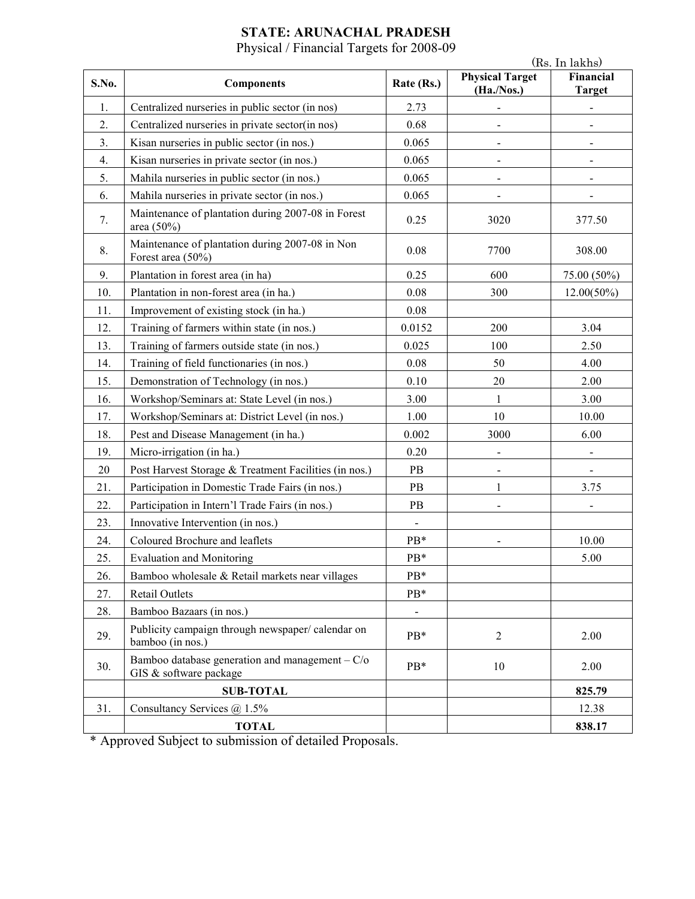## **STATE: ARUNACHAL PRADESH**

Physical / Financial Targets for 2008-09

|       |                                                                             |                | (Rs. In lakhs)                       |                            |
|-------|-----------------------------------------------------------------------------|----------------|--------------------------------------|----------------------------|
| S.No. | <b>Components</b>                                                           | Rate (Rs.)     | <b>Physical Target</b><br>(Ha./Nos.) | Financial<br><b>Target</b> |
| 1.    | Centralized nurseries in public sector (in nos)                             | 2.73           | $\qquad \qquad \blacksquare$         | $\overline{\phantom{0}}$   |
| 2.    | Centralized nurseries in private sector(in nos)                             | 0.68           | $\overline{\phantom{a}}$             | $\blacksquare$             |
| 3.    | Kisan nurseries in public sector (in nos.)                                  | 0.065          | $\overline{\phantom{a}}$             |                            |
| 4.    | Kisan nurseries in private sector (in nos.)                                 | 0.065          | $\blacksquare$                       |                            |
| 5.    | Mahila nurseries in public sector (in nos.)                                 | 0.065          |                                      |                            |
| 6.    | Mahila nurseries in private sector (in nos.)                                | 0.065          |                                      |                            |
| 7.    | Maintenance of plantation during 2007-08 in Forest<br>area (50%)            | 0.25           | 3020                                 | 377.50                     |
| 8.    | Maintenance of plantation during 2007-08 in Non<br>Forest area (50%)        | 0.08           | 7700                                 | 308.00                     |
| 9.    | Plantation in forest area (in ha)                                           | 0.25           | 600                                  | 75.00 (50%)                |
| 10.   | Plantation in non-forest area (in ha.)                                      | 0.08           | 300                                  | $12.00(50\%)$              |
| 11.   | Improvement of existing stock (in ha.)                                      | 0.08           |                                      |                            |
| 12.   | Training of farmers within state (in nos.)                                  | 0.0152         | 200                                  | 3.04                       |
| 13.   | Training of farmers outside state (in nos.)                                 | 0.025          | 100                                  | 2.50                       |
| 14.   | Training of field functionaries (in nos.)                                   | 0.08           | 50                                   | 4.00                       |
| 15.   | Demonstration of Technology (in nos.)                                       | 0.10           | 20                                   | 2.00                       |
| 16.   | Workshop/Seminars at: State Level (in nos.)                                 | 3.00           | $\mathbf{1}$                         | 3.00                       |
| 17.   | Workshop/Seminars at: District Level (in nos.)                              | 1.00           | 10                                   | 10.00                      |
| 18.   | Pest and Disease Management (in ha.)                                        | 0.002          | 3000                                 | 6.00                       |
| 19.   | Micro-irrigation (in ha.)                                                   | 0.20           |                                      |                            |
| 20    | Post Harvest Storage & Treatment Facilities (in nos.)                       | PB             |                                      |                            |
| 21.   | Participation in Domestic Trade Fairs (in nos.)                             | PB             | $\mathbf{1}$                         | 3.75                       |
| 22.   | Participation in Intern'l Trade Fairs (in nos.)                             | PB             |                                      |                            |
| 23.   | Innovative Intervention (in nos.)                                           | $\blacksquare$ |                                      |                            |
| 24.   | Coloured Brochure and leaflets                                              | PB*            |                                      | 10.00                      |
| 25.   | <b>Evaluation and Monitoring</b>                                            | PB*            |                                      | 5.00                       |
| 26.   | Bamboo wholesale & Retail markets near villages                             | PB*            |                                      |                            |
| 27.   | Retail Outlets                                                              | PB*            |                                      |                            |
| 28.   | Bamboo Bazaars (in nos.)                                                    | $\blacksquare$ |                                      |                            |
| 29.   | Publicity campaign through newspaper/calendar on<br>bamboo (in nos.)        | $PB*$          | $\overline{2}$                       | 2.00                       |
| 30.   | Bamboo database generation and management $-C$ /o<br>GIS & software package | PB*            | 10                                   | 2.00                       |
|       | <b>SUB-TOTAL</b>                                                            |                |                                      | 825.79                     |
| 31.   | Consultancy Services @ 1.5%                                                 |                |                                      | 12.38                      |
|       | <b>TOTAL</b>                                                                |                |                                      | 838.17                     |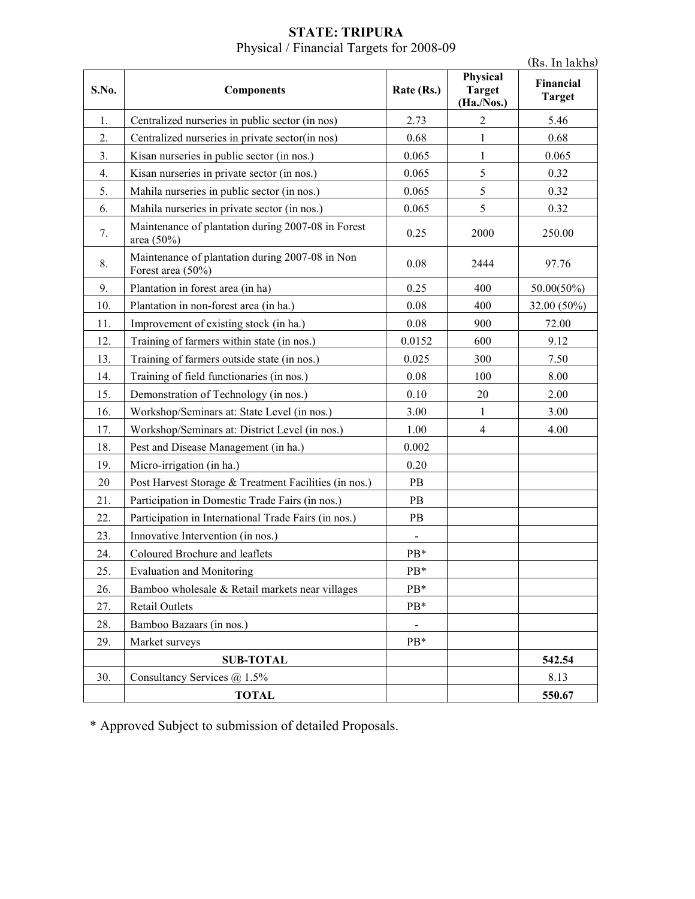| <b>STATE: TRIPURA</b>                    |  |
|------------------------------------------|--|
| Physical / Financial Targets for 2008-09 |  |

|       |                                                                      |            |                                         | (Rs. In lakhs)             |
|-------|----------------------------------------------------------------------|------------|-----------------------------------------|----------------------------|
| S.No. | <b>Components</b>                                                    | Rate (Rs.) | Physical<br><b>Target</b><br>(Ha./Nos.) | Financial<br><b>Target</b> |
| 1.    | Centralized nurseries in public sector (in nos)                      | 2.73       | 2                                       | 5.46                       |
| 2.    | Centralized nurseries in private sector(in nos)                      | 0.68       | 1                                       | 0.68                       |
| 3.    | Kisan nurseries in public sector (in nos.)                           | 0.065      | 1                                       | 0.065                      |
| 4.    | Kisan nurseries in private sector (in nos.)                          | 0.065      | 5                                       | 0.32                       |
| 5.    | Mahila nurseries in public sector (in nos.)                          | 0.065      | 5                                       | 0.32                       |
| 6.    | Mahila nurseries in private sector (in nos.)                         | 0.065      | 5                                       | 0.32                       |
| 7.    | Maintenance of plantation during 2007-08 in Forest<br>area (50%)     | 0.25       | 2000                                    | 250.00                     |
| 8.    | Maintenance of plantation during 2007-08 in Non<br>Forest area (50%) | 0.08       | 2444                                    | 97.76                      |
| 9.    | Plantation in forest area (in ha)                                    | 0.25       | 400                                     | $50.00(50\%)$              |
| 10.   | Plantation in non-forest area (in ha.)                               | 0.08       | 400                                     | 32.00 (50%)                |
| 11.   | Improvement of existing stock (in ha.)                               | 0.08       | 900                                     | 72.00                      |
| 12.   | Training of farmers within state (in nos.)                           | 0.0152     | 600                                     | 9.12                       |
| 13.   | Training of farmers outside state (in nos.)                          | 0.025      | 300                                     | 7.50                       |
| 14.   | Training of field functionaries (in nos.)                            | 0.08       | 100                                     | 8.00                       |
| 15.   | Demonstration of Technology (in nos.)                                | 0.10       | 20                                      | 2.00                       |
| 16.   | Workshop/Seminars at: State Level (in nos.)                          | 3.00       | $\mathbf{1}$                            | 3.00                       |
| 17.   | Workshop/Seminars at: District Level (in nos.)                       | 1.00       | $\overline{4}$                          | 4.00                       |
| 18.   | Pest and Disease Management (in ha.)                                 | 0.002      |                                         |                            |
| 19.   | Micro-irrigation (in ha.)                                            | 0.20       |                                         |                            |
| 20    | Post Harvest Storage & Treatment Facilities (in nos.)                | PB         |                                         |                            |
| 21.   | Participation in Domestic Trade Fairs (in nos.)                      | PB         |                                         |                            |
| 22.   | Participation in International Trade Fairs (in nos.)                 | PB         |                                         |                            |
| 23.   | Innovative Intervention (in nos.)                                    |            |                                         |                            |
| 24.   | Coloured Brochure and leaflets                                       | PB*        |                                         |                            |
| 25.   | <b>Evaluation and Monitoring</b>                                     | PB*        |                                         |                            |
| 26.   | Bamboo wholesale & Retail markets near villages                      | PB*        |                                         |                            |
| 27.   | <b>Retail Outlets</b>                                                | PB*        |                                         |                            |
| 28.   | Bamboo Bazaars (in nos.)                                             |            |                                         |                            |
| 29.   | Market surveys                                                       | PB*        |                                         |                            |
|       | <b>SUB-TOTAL</b>                                                     |            |                                         | 542.54                     |
| 30.   | Consultancy Services @ 1.5%                                          |            |                                         | 8.13                       |
|       | <b>TOTAL</b>                                                         |            |                                         | 550.67                     |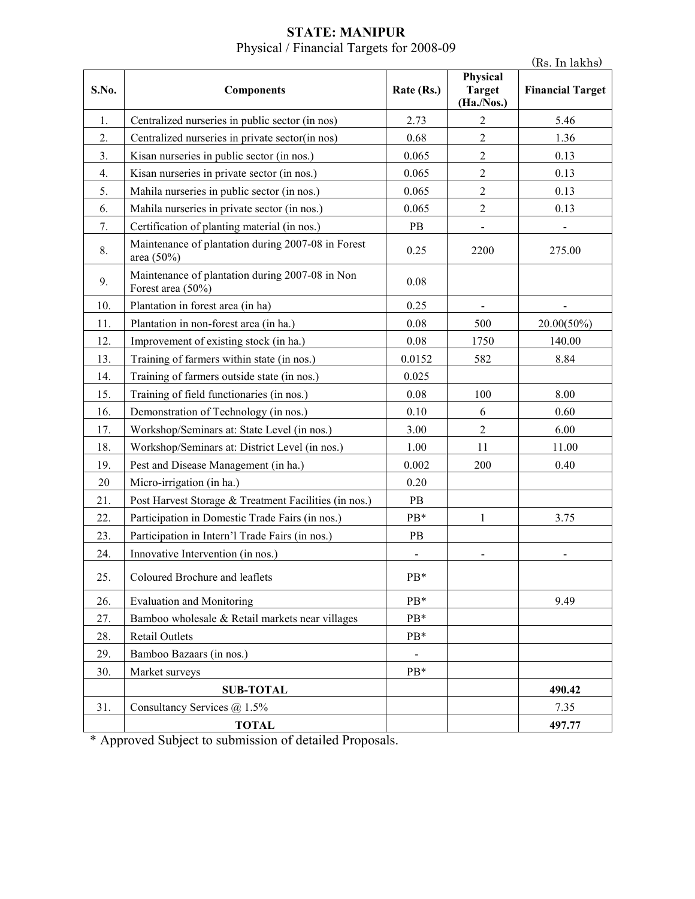#### **STATE: MANIPUR**  Physical / Financial Targets for 2008-09

|       |                                                                      |                          |                                         | (Rs. In lakhs)          |
|-------|----------------------------------------------------------------------|--------------------------|-----------------------------------------|-------------------------|
| S.No. | <b>Components</b>                                                    | Rate (Rs.)               | Physical<br><b>Target</b><br>(Ha./Nos.) | <b>Financial Target</b> |
| 1.    | Centralized nurseries in public sector (in nos)                      | 2.73                     | $\overline{2}$                          | 5.46                    |
| 2.    | Centralized nurseries in private sector(in nos)                      | 0.68                     | $\overline{2}$                          | 1.36                    |
| 3.    | Kisan nurseries in public sector (in nos.)                           | 0.065                    | $\sqrt{2}$                              | 0.13                    |
| 4.    | Kisan nurseries in private sector (in nos.)                          | 0.065                    | $\overline{2}$                          | 0.13                    |
| 5.    | Mahila nurseries in public sector (in nos.)                          | 0.065                    | $\overline{2}$                          | 0.13                    |
| 6.    | Mahila nurseries in private sector (in nos.)                         | 0.065                    | $\sqrt{2}$                              | 0.13                    |
| 7.    | Certification of planting material (in nos.)                         | PB                       | $\qquad \qquad \blacksquare$            |                         |
| 8.    | Maintenance of plantation during 2007-08 in Forest<br>area (50%)     | 0.25                     | 2200                                    | 275.00                  |
| 9.    | Maintenance of plantation during 2007-08 in Non<br>Forest area (50%) | 0.08                     |                                         |                         |
| 10.   | Plantation in forest area (in ha)                                    | 0.25                     | $\overline{\phantom{a}}$                |                         |
| 11.   | Plantation in non-forest area (in ha.)                               | 0.08                     | 500                                     | $20.00(50\%)$           |
| 12.   | Improvement of existing stock (in ha.)                               | 0.08                     | 1750                                    | 140.00                  |
| 13.   | Training of farmers within state (in nos.)                           | 0.0152                   | 582                                     | 8.84                    |
| 14.   | Training of farmers outside state (in nos.)                          | 0.025                    |                                         |                         |
| 15.   | Training of field functionaries (in nos.)                            | 0.08                     | 100                                     | 8.00                    |
| 16.   | Demonstration of Technology (in nos.)                                | 0.10                     | 6                                       | 0.60                    |
| 17.   | Workshop/Seminars at: State Level (in nos.)                          | 3.00                     | $\overline{2}$                          | 6.00                    |
| 18.   | Workshop/Seminars at: District Level (in nos.)                       | 1.00                     | 11                                      | 11.00                   |
| 19.   | Pest and Disease Management (in ha.)                                 | 0.002                    | 200                                     | 0.40                    |
| 20    | Micro-irrigation (in ha.)                                            | 0.20                     |                                         |                         |
| 21.   | Post Harvest Storage & Treatment Facilities (in nos.)                | PB                       |                                         |                         |
| 22.   | Participation in Domestic Trade Fairs (in nos.)                      | PB*                      | 1                                       | 3.75                    |
| 23.   | Participation in Intern'l Trade Fairs (in nos.)                      | PB                       |                                         |                         |
| 24.   | Innovative Intervention (in nos.)                                    | $\overline{\phantom{0}}$ |                                         |                         |
| 25.   | Coloured Brochure and leaflets                                       | PB*                      |                                         |                         |
| 26.   | <b>Evaluation and Monitoring</b>                                     | PB*                      |                                         | 9.49                    |
| 27.   | Bamboo wholesale & Retail markets near villages                      | PB*                      |                                         |                         |
| 28.   | <b>Retail Outlets</b>                                                | $PB*$                    |                                         |                         |
| 29.   | Bamboo Bazaars (in nos.)                                             |                          |                                         |                         |
| 30.   | Market surveys                                                       | PB*                      |                                         |                         |
|       | <b>SUB-TOTAL</b>                                                     |                          |                                         | 490.42                  |
| 31.   | Consultancy Services $@$ 1.5%                                        |                          |                                         | 7.35                    |
|       | <b>TOTAL</b>                                                         |                          |                                         | 497.77                  |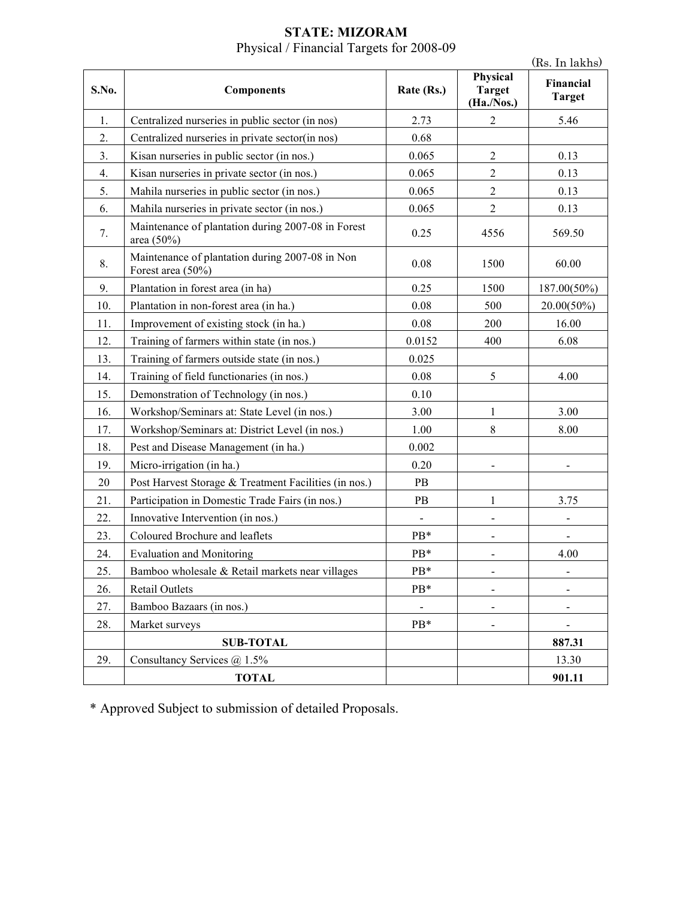### **STATE: MIZORAM**  Physical / Financial Targets for 2008-09

|       |                                                                      |                |                                         | (Rs. In lakhs)             |
|-------|----------------------------------------------------------------------|----------------|-----------------------------------------|----------------------------|
| S.No. | <b>Components</b>                                                    | Rate (Rs.)     | Physical<br><b>Target</b><br>(Ha./Nos.) | Financial<br><b>Target</b> |
| 1.    | Centralized nurseries in public sector (in nos)                      | 2.73           | $\overline{2}$                          | 5.46                       |
| 2.    | Centralized nurseries in private sector(in nos)                      | 0.68           |                                         |                            |
| 3.    | Kisan nurseries in public sector (in nos.)                           | 0.065          | $\sqrt{2}$                              | 0.13                       |
| 4.    | Kisan nurseries in private sector (in nos.)                          | 0.065          | $\overline{2}$                          | 0.13                       |
| 5.    | Mahila nurseries in public sector (in nos.)                          | 0.065          | $\sqrt{2}$                              | 0.13                       |
| 6.    | Mahila nurseries in private sector (in nos.)                         | 0.065          | $\overline{2}$                          | 0.13                       |
| 7.    | Maintenance of plantation during 2007-08 in Forest<br>area (50%)     | 0.25           | 4556                                    | 569.50                     |
| 8.    | Maintenance of plantation during 2007-08 in Non<br>Forest area (50%) | 0.08           | 1500                                    | 60.00                      |
| 9.    | Plantation in forest area (in ha)                                    | 0.25           | 1500                                    | 187.00(50%)                |
| 10.   | Plantation in non-forest area (in ha.)                               | 0.08           | 500                                     | $20.00(50\%)$              |
| 11.   | Improvement of existing stock (in ha.)                               | $0.08\,$       | 200                                     | 16.00                      |
| 12.   | Training of farmers within state (in nos.)                           | 0.0152         | 400                                     | 6.08                       |
| 13.   | Training of farmers outside state (in nos.)                          | 0.025          |                                         |                            |
| 14.   | Training of field functionaries (in nos.)                            | 0.08           | 5                                       | 4.00                       |
| 15.   | Demonstration of Technology (in nos.)                                | 0.10           |                                         |                            |
| 16.   | Workshop/Seminars at: State Level (in nos.)                          | 3.00           | $\mathbf{1}$                            | 3.00                       |
| 17.   | Workshop/Seminars at: District Level (in nos.)                       | 1.00           | 8                                       | 8.00                       |
| 18.   | Pest and Disease Management (in ha.)                                 | 0.002          |                                         |                            |
| 19.   | Micro-irrigation (in ha.)                                            | 0.20           |                                         |                            |
| 20    | Post Harvest Storage & Treatment Facilities (in nos.)                | PB             |                                         |                            |
| 21.   | Participation in Domestic Trade Fairs (in nos.)                      | PB             | $\mathbf{1}$                            | 3.75                       |
| 22.   | Innovative Intervention (in nos.)                                    |                |                                         |                            |
| 23.   | Coloured Brochure and leaflets                                       | PB*            | $\overline{\phantom{0}}$                | $\overline{\phantom{0}}$   |
| 24.   | <b>Evaluation and Monitoring</b>                                     | PB*            |                                         | 4.00                       |
| 25.   | Bamboo wholesale & Retail markets near villages                      | PB*            | $\qquad \qquad \blacksquare$            | ۰                          |
| 26.   | <b>Retail Outlets</b>                                                | PB*            | -                                       |                            |
| 27.   | Bamboo Bazaars (in nos.)                                             | $\blacksquare$ | $\overline{\phantom{0}}$                |                            |
| 28.   | Market surveys                                                       | PB*            | -                                       | $\blacksquare$             |
|       | <b>SUB-TOTAL</b>                                                     |                |                                         | 887.31                     |
| 29.   | Consultancy Services $\omega$ 1.5%                                   |                |                                         | 13.30                      |
|       | <b>TOTAL</b>                                                         |                |                                         | 901.11                     |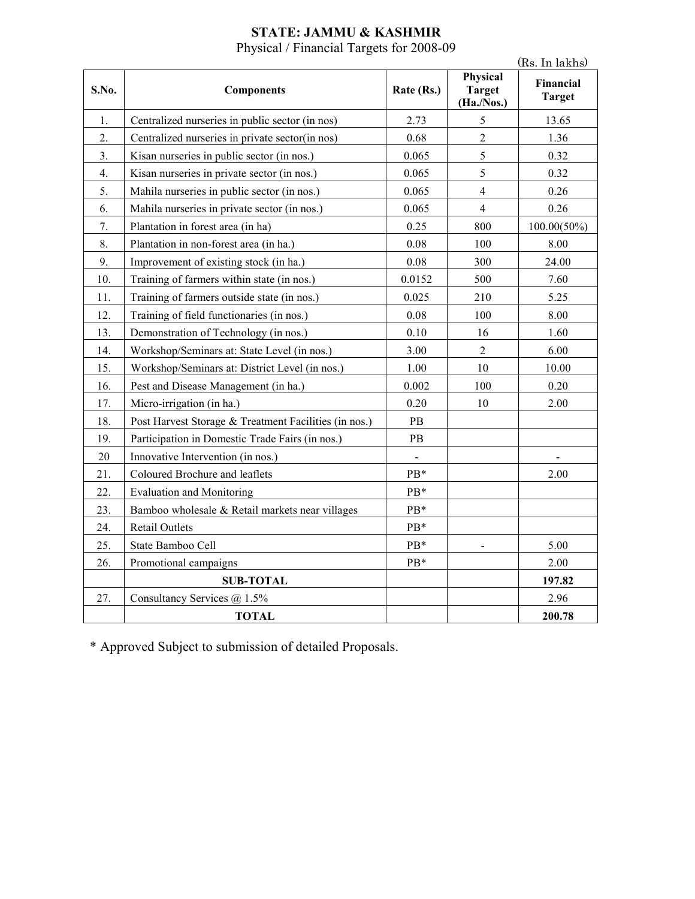# **STATE: JAMMU & KASHMIR**

Physical / Financial Targets for 2008-09

|       |                                                       |                          |                                         | (Rs. In lakhs)             |
|-------|-------------------------------------------------------|--------------------------|-----------------------------------------|----------------------------|
| S.No. | <b>Components</b>                                     | Rate (Rs.)               | Physical<br><b>Target</b><br>(Ha./Nos.) | Financial<br><b>Target</b> |
| 1.    | Centralized nurseries in public sector (in nos)       | 2.73                     | 5                                       | 13.65                      |
| 2.    | Centralized nurseries in private sector(in nos)       | 0.68                     | $\overline{2}$                          | 1.36                       |
| 3.    | Kisan nurseries in public sector (in nos.)            | 0.065                    | 5                                       | 0.32                       |
| 4.    | Kisan nurseries in private sector (in nos.)           | 0.065                    | 5                                       | 0.32                       |
| 5.    | Mahila nurseries in public sector (in nos.)           | 0.065                    | $\overline{4}$                          | 0.26                       |
| 6.    | Mahila nurseries in private sector (in nos.)          | 0.065                    | $\overline{4}$                          | 0.26                       |
| 7.    | Plantation in forest area (in ha)                     | 0.25                     | 800                                     | $100.00(50\%)$             |
| 8.    | Plantation in non-forest area (in ha.)                | 0.08                     | 100                                     | 8.00                       |
| 9.    | Improvement of existing stock (in ha.)                | 0.08                     | 300                                     | 24.00                      |
| 10.   | Training of farmers within state (in nos.)            | 0.0152                   | 500                                     | 7.60                       |
| 11.   | Training of farmers outside state (in nos.)           | 0.025                    | 210                                     | 5.25                       |
| 12.   | Training of field functionaries (in nos.)             | 0.08                     | 100                                     | 8.00                       |
| 13.   | Demonstration of Technology (in nos.)                 | 0.10                     | 16                                      | 1.60                       |
| 14.   | Workshop/Seminars at: State Level (in nos.)           | 3.00                     | $\overline{2}$                          | 6.00                       |
| 15.   | Workshop/Seminars at: District Level (in nos.)        | 1.00                     | 10                                      | 10.00                      |
| 16.   | Pest and Disease Management (in ha.)                  | 0.002                    | 100                                     | 0.20                       |
| 17.   | Micro-irrigation (in ha.)                             | 0.20                     | 10                                      | 2.00                       |
| 18.   | Post Harvest Storage & Treatment Facilities (in nos.) | PB                       |                                         |                            |
| 19.   | Participation in Domestic Trade Fairs (in nos.)       | PB                       |                                         |                            |
| 20    | Innovative Intervention (in nos.)                     | $\overline{\phantom{a}}$ |                                         |                            |
| 21.   | Coloured Brochure and leaflets                        | PB*                      |                                         | 2.00                       |
| 22.   | <b>Evaluation and Monitoring</b>                      | PB*                      |                                         |                            |
| 23.   | Bamboo wholesale & Retail markets near villages       | PB*                      |                                         |                            |
| 24.   | <b>Retail Outlets</b>                                 | PB*                      |                                         |                            |
| 25.   | State Bamboo Cell                                     | PB*                      | $\blacksquare$                          | 5.00                       |
| 26.   | Promotional campaigns                                 | PB*                      |                                         | 2.00                       |
|       | <b>SUB-TOTAL</b>                                      |                          |                                         | 197.82                     |
| 27.   | Consultancy Services @ 1.5%                           |                          |                                         | 2.96                       |
|       | <b>TOTAL</b>                                          |                          |                                         | 200.78                     |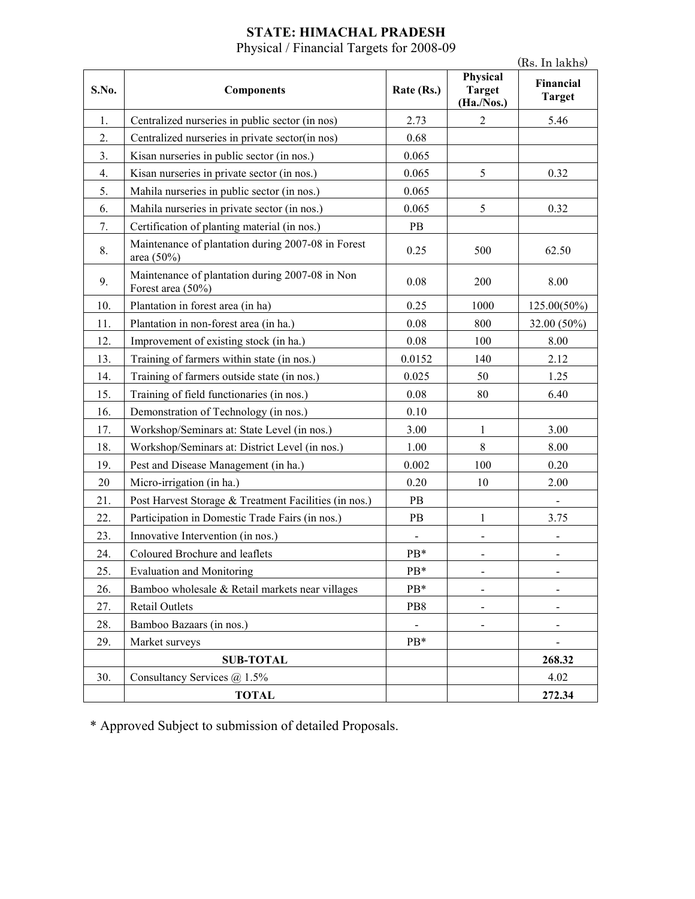## **STATE: HIMACHAL PRADESH**

Physical / Financial Targets for 2008-09

|       |                                                                      |                |                                         | (Rs. In lakhs)             |
|-------|----------------------------------------------------------------------|----------------|-----------------------------------------|----------------------------|
| S.No. | <b>Components</b>                                                    | Rate (Rs.)     | Physical<br><b>Target</b><br>(Ha./Nos.) | Financial<br><b>Target</b> |
| 1.    | Centralized nurseries in public sector (in nos)                      | 2.73           | 2                                       | 5.46                       |
| 2.    | Centralized nurseries in private sector(in nos)                      | 0.68           |                                         |                            |
| 3.    | Kisan nurseries in public sector (in nos.)                           | 0.065          |                                         |                            |
| 4.    | Kisan nurseries in private sector (in nos.)                          | 0.065          | 5                                       | 0.32                       |
| 5.    | Mahila nurseries in public sector (in nos.)                          | 0.065          |                                         |                            |
| 6.    | Mahila nurseries in private sector (in nos.)                         | 0.065          | 5                                       | 0.32                       |
| 7.    | Certification of planting material (in nos.)                         | PB             |                                         |                            |
| 8.    | Maintenance of plantation during 2007-08 in Forest<br>area $(50\%)$  | 0.25           | 500                                     | 62.50                      |
| 9.    | Maintenance of plantation during 2007-08 in Non<br>Forest area (50%) | 0.08           | 200                                     | 8.00                       |
| 10.   | Plantation in forest area (in ha)                                    | 0.25           | 1000                                    | $125.00(50\%)$             |
| 11.   | Plantation in non-forest area (in ha.)                               | 0.08           | 800                                     | 32.00 (50%)                |
| 12.   | Improvement of existing stock (in ha.)                               | 0.08           | 100                                     | 8.00                       |
| 13.   | Training of farmers within state (in nos.)                           | 0.0152         | 140                                     | 2.12                       |
| 14.   | Training of farmers outside state (in nos.)                          | 0.025          | 50                                      | 1.25                       |
| 15.   | Training of field functionaries (in nos.)                            | 0.08           | 80                                      | 6.40                       |
| 16.   | Demonstration of Technology (in nos.)                                | 0.10           |                                         |                            |
| 17.   | Workshop/Seminars at: State Level (in nos.)                          | 3.00           | $\mathbf{1}$                            | 3.00                       |
| 18.   | Workshop/Seminars at: District Level (in nos.)                       | 1.00           | 8                                       | 8.00                       |
| 19.   | Pest and Disease Management (in ha.)                                 | 0.002          | 100                                     | 0.20                       |
| 20    | Micro-irrigation (in ha.)                                            | 0.20           | 10                                      | 2.00                       |
| 21.   | Post Harvest Storage & Treatment Facilities (in nos.)                | PB             |                                         |                            |
| 22.   | Participation in Domestic Trade Fairs (in nos.)                      | PB             | $\mathbf{1}$                            | 3.75                       |
| 23.   | Innovative Intervention (in nos.)                                    | $\blacksquare$ | $\overline{\phantom{0}}$                | $\blacksquare$             |
| 24.   | Coloured Brochure and leaflets                                       | PB*            |                                         |                            |
| 25.   | <b>Evaluation and Monitoring</b>                                     | PB*            |                                         |                            |
| 26.   | Bamboo wholesale & Retail markets near villages                      | PB*            | $\qquad \qquad \blacksquare$            |                            |
| 27.   | <b>Retail Outlets</b>                                                | PB8            | $\qquad \qquad \blacksquare$            |                            |
| 28.   | Bamboo Bazaars (in nos.)                                             | $\blacksquare$ |                                         |                            |
| 29.   | Market surveys                                                       | $PB*$          |                                         |                            |
|       | <b>SUB-TOTAL</b>                                                     |                |                                         | 268.32                     |
| 30.   | Consultancy Services $@$ 1.5%                                        |                |                                         | 4.02                       |
|       | <b>TOTAL</b>                                                         |                |                                         | 272.34                     |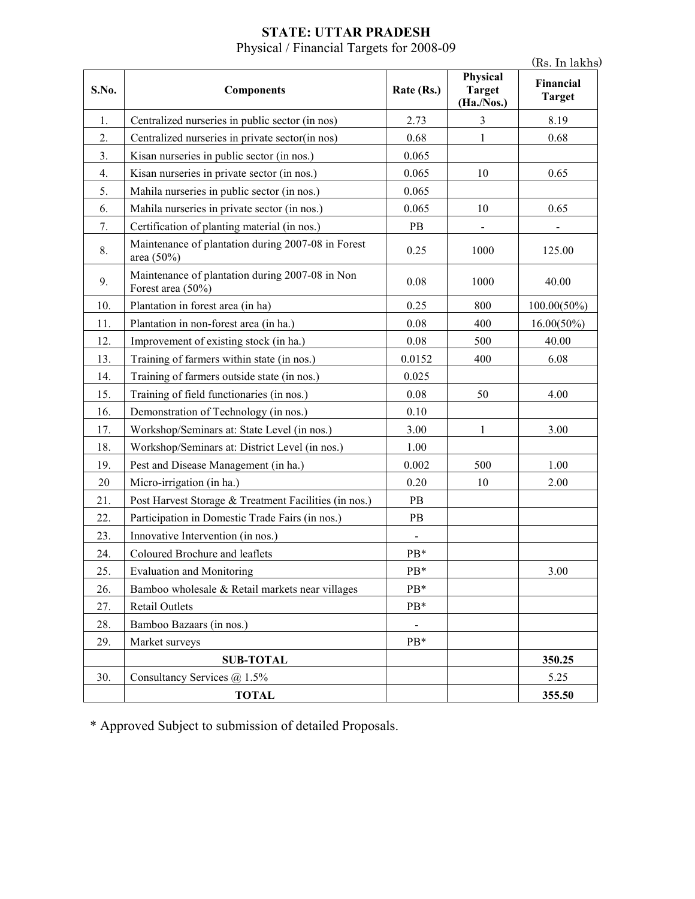### **STATE: UTTAR PRADESH**  Physical / Financial Targets for 2008-09

|       |                                                                      | (Rs. In lakhs) |                                         |                            |
|-------|----------------------------------------------------------------------|----------------|-----------------------------------------|----------------------------|
| S.No. | <b>Components</b>                                                    | Rate (Rs.)     | Physical<br><b>Target</b><br>(Ha./Nos.) | Financial<br><b>Target</b> |
| 1.    | Centralized nurseries in public sector (in nos)                      | 2.73           | 3                                       | 8.19                       |
| 2.    | Centralized nurseries in private sector(in nos)                      | 0.68           | 1                                       | 0.68                       |
| 3.    | Kisan nurseries in public sector (in nos.)                           | 0.065          |                                         |                            |
| 4.    | Kisan nurseries in private sector (in nos.)                          | 0.065          | 10                                      | 0.65                       |
| 5.    | Mahila nurseries in public sector (in nos.)                          | 0.065          |                                         |                            |
| 6.    | Mahila nurseries in private sector (in nos.)                         | 0.065          | 10                                      | 0.65                       |
| 7.    | Certification of planting material (in nos.)                         | PB             | $\overline{\phantom{0}}$                |                            |
| 8.    | Maintenance of plantation during 2007-08 in Forest<br>area (50%)     | 0.25           | 1000                                    | 125.00                     |
| 9.    | Maintenance of plantation during 2007-08 in Non<br>Forest area (50%) | 0.08           | 1000                                    | 40.00                      |
| 10.   | Plantation in forest area (in ha)                                    | 0.25           | 800                                     | $100.00(50\%)$             |
| 11.   | Plantation in non-forest area (in ha.)                               | 0.08           | 400                                     | $16.00(50\%)$              |
| 12.   | Improvement of existing stock (in ha.)                               | 0.08           | 500                                     | 40.00                      |
| 13.   | Training of farmers within state (in nos.)                           | 0.0152         | 400                                     | 6.08                       |
| 14.   | Training of farmers outside state (in nos.)                          | 0.025          |                                         |                            |
| 15.   | Training of field functionaries (in nos.)                            | 0.08           | 50                                      | 4.00                       |
| 16.   | Demonstration of Technology (in nos.)                                | 0.10           |                                         |                            |
| 17.   | Workshop/Seminars at: State Level (in nos.)                          | 3.00           | 1                                       | 3.00                       |
| 18.   | Workshop/Seminars at: District Level (in nos.)                       | 1.00           |                                         |                            |
| 19.   | Pest and Disease Management (in ha.)                                 | 0.002          | 500                                     | 1.00                       |
| 20    | Micro-irrigation (in ha.)                                            | 0.20           | 10                                      | 2.00                       |
| 21.   | Post Harvest Storage & Treatment Facilities (in nos.)                | PB             |                                         |                            |
| 22.   | Participation in Domestic Trade Fairs (in nos.)                      | PB             |                                         |                            |
| 23.   | Innovative Intervention (in nos.)                                    | $\blacksquare$ |                                         |                            |
| 24.   | Coloured Brochure and leaflets                                       | PB*            |                                         |                            |
| 25.   | <b>Evaluation and Monitoring</b>                                     | PB*            |                                         | 3.00                       |
| 26.   | Bamboo wholesale & Retail markets near villages                      | PB*            |                                         |                            |
| 27.   | <b>Retail Outlets</b>                                                | PB*            |                                         |                            |
| 28.   | Bamboo Bazaars (in nos.)                                             | $\blacksquare$ |                                         |                            |
| 29.   | Market surveys                                                       | PB*            |                                         |                            |
|       | <b>SUB-TOTAL</b>                                                     |                |                                         | 350.25                     |
| 30.   | Consultancy Services $\omega$ 1.5%                                   |                |                                         | 5.25                       |
|       | <b>TOTAL</b>                                                         |                |                                         | 355.50                     |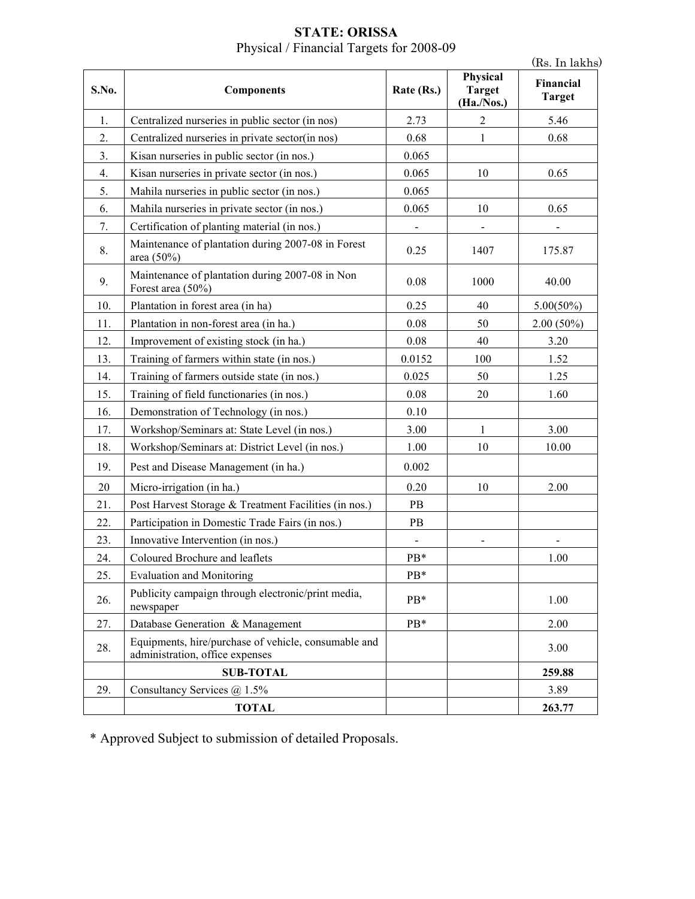|       |                                                                                         |                |                                         | (Rs. In lakhs)             |
|-------|-----------------------------------------------------------------------------------------|----------------|-----------------------------------------|----------------------------|
| S.No. | <b>Components</b>                                                                       | Rate (Rs.)     | Physical<br><b>Target</b><br>(Ha./Nos.) | Financial<br><b>Target</b> |
| 1.    | Centralized nurseries in public sector (in nos)                                         | 2.73           | $\overline{2}$                          | 5.46                       |
| 2.    | Centralized nurseries in private sector(in nos)                                         | 0.68           | $\mathbf{1}$                            | 0.68                       |
| 3.    | Kisan nurseries in public sector (in nos.)                                              | 0.065          |                                         |                            |
| 4.    | Kisan nurseries in private sector (in nos.)                                             | 0.065          | 10                                      | 0.65                       |
| 5.    | Mahila nurseries in public sector (in nos.)                                             | 0.065          |                                         |                            |
| 6.    | Mahila nurseries in private sector (in nos.)                                            | 0.065          | 10                                      | 0.65                       |
| 7.    | Certification of planting material (in nos.)                                            |                |                                         |                            |
| 8.    | Maintenance of plantation during 2007-08 in Forest<br>area (50%)                        | 0.25           | 1407                                    | 175.87                     |
| 9.    | Maintenance of plantation during 2007-08 in Non<br>Forest area (50%)                    | 0.08           | 1000                                    | 40.00                      |
| 10.   | Plantation in forest area (in ha)                                                       | 0.25           | 40                                      | $5.00(50\%)$               |
| 11.   | Plantation in non-forest area (in ha.)                                                  | 0.08           | 50                                      | $2.00(50\%)$               |
| 12.   | Improvement of existing stock (in ha.)                                                  | 0.08           | 40                                      | 3.20                       |
| 13.   | Training of farmers within state (in nos.)                                              | 0.0152         | 100                                     | 1.52                       |
| 14.   | Training of farmers outside state (in nos.)                                             | 0.025          | 50                                      | 1.25                       |
| 15.   | Training of field functionaries (in nos.)                                               | 0.08           | 20                                      | 1.60                       |
| 16.   | Demonstration of Technology (in nos.)                                                   | 0.10           |                                         |                            |
| 17.   | Workshop/Seminars at: State Level (in nos.)                                             | 3.00           | $\mathbf{1}$                            | 3.00                       |
| 18.   | Workshop/Seminars at: District Level (in nos.)                                          | 1.00           | 10                                      | 10.00                      |
| 19.   | Pest and Disease Management (in ha.)                                                    | 0.002          |                                         |                            |
| 20    | Micro-irrigation (in ha.)                                                               | 0.20           | 10                                      | 2.00                       |
| 21.   | Post Harvest Storage & Treatment Facilities (in nos.)                                   | PB             |                                         |                            |
| 22.   | Participation in Domestic Trade Fairs (in nos.)                                         | PB             |                                         |                            |
| 23.   | Innovative Intervention (in nos.)                                                       | $\blacksquare$ |                                         |                            |
| 24.   | Coloured Brochure and leaflets                                                          | PB*            |                                         | 1.00                       |
| 25.   | <b>Evaluation and Monitoring</b>                                                        | PB*            |                                         |                            |
| 26.   | Publicity campaign through electronic/print media,<br>newspaper                         | PB*            |                                         | 1.00                       |
| 27.   | Database Generation & Management                                                        | PB*            |                                         | 2.00                       |
| 28.   | Equipments, hire/purchase of vehicle, consumable and<br>administration, office expenses |                |                                         | 3.00                       |
|       | <b>SUB-TOTAL</b>                                                                        |                |                                         | 259.88                     |
| 29.   | Consultancy Services $@$ 1.5%                                                           |                |                                         | 3.89                       |
|       | <b>TOTAL</b>                                                                            |                |                                         | 263.77                     |

## **STATE: ORISSA**  Physical / Financial Targets for 2008-09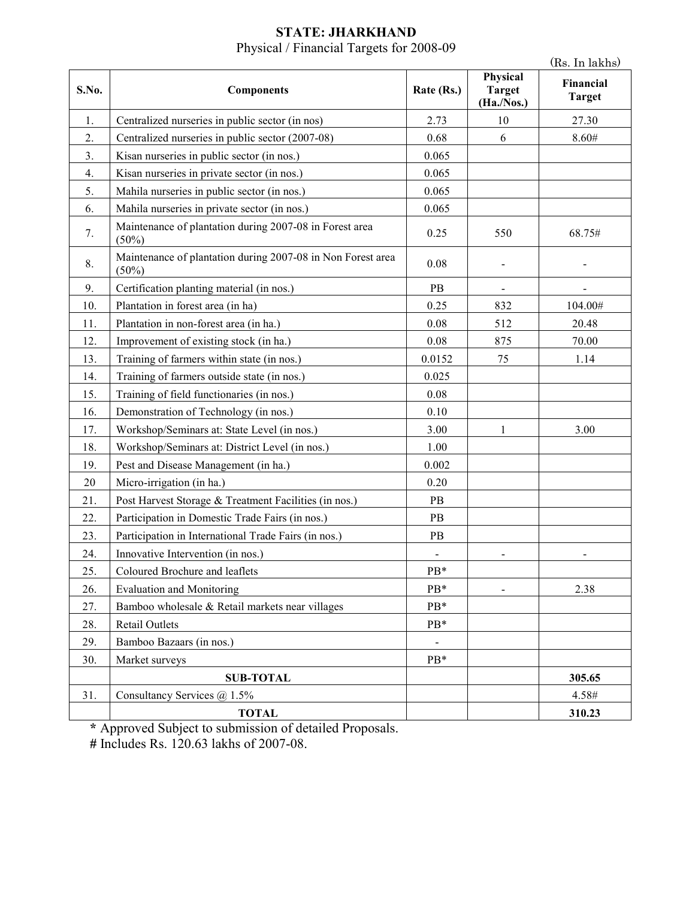#### **STATE: JHARKHAND**  Physical / Financial Targets for 2008-09

|       |                                                                      |                              |                                         | (Rs. In lakhs)             |
|-------|----------------------------------------------------------------------|------------------------------|-----------------------------------------|----------------------------|
| S.No. | <b>Components</b>                                                    | Rate (Rs.)                   | Physical<br><b>Target</b><br>(Ha./Nos.) | Financial<br><b>Target</b> |
| 1.    | Centralized nurseries in public sector (in nos)                      | 2.73                         | 10                                      | 27.30                      |
| 2.    | Centralized nurseries in public sector (2007-08)                     | 0.68                         | 6                                       | 8.60#                      |
| 3.    | Kisan nurseries in public sector (in nos.)                           | 0.065                        |                                         |                            |
| 4.    | Kisan nurseries in private sector (in nos.)                          | 0.065                        |                                         |                            |
| 5.    | Mahila nurseries in public sector (in nos.)                          | 0.065                        |                                         |                            |
| 6.    | Mahila nurseries in private sector (in nos.)                         | 0.065                        |                                         |                            |
| 7.    | Maintenance of plantation during 2007-08 in Forest area<br>(50%)     | 0.25                         | 550                                     | 68.75#                     |
| 8.    | Maintenance of plantation during 2007-08 in Non Forest area<br>(50%) | 0.08                         |                                         |                            |
| 9.    | Certification planting material (in nos.)                            | PB                           |                                         |                            |
| 10.   | Plantation in forest area (in ha)                                    | 0.25                         | 832                                     | 104.00#                    |
| 11.   | Plantation in non-forest area (in ha.)                               | 0.08                         | 512                                     | 20.48                      |
| 12.   | Improvement of existing stock (in ha.)                               | 0.08                         | 875                                     | 70.00                      |
| 13.   | Training of farmers within state (in nos.)                           | 0.0152                       | 75                                      | 1.14                       |
| 14.   | Training of farmers outside state (in nos.)                          | 0.025                        |                                         |                            |
| 15.   | Training of field functionaries (in nos.)                            | 0.08                         |                                         |                            |
| 16.   | Demonstration of Technology (in nos.)                                | 0.10                         |                                         |                            |
| 17.   | Workshop/Seminars at: State Level (in nos.)                          | 3.00                         | 1                                       | 3.00                       |
| 18.   | Workshop/Seminars at: District Level (in nos.)                       | 1.00                         |                                         |                            |
| 19.   | Pest and Disease Management (in ha.)                                 | 0.002                        |                                         |                            |
| 20    | Micro-irrigation (in ha.)                                            | 0.20                         |                                         |                            |
| 21.   | Post Harvest Storage & Treatment Facilities (in nos.)                | PB                           |                                         |                            |
| 22.   | Participation in Domestic Trade Fairs (in nos.)                      | PB                           |                                         |                            |
| 23.   | Participation in International Trade Fairs (in nos.)                 | PB                           |                                         |                            |
| 24.   | Innovative Intervention (in nos.)                                    | $\qquad \qquad \blacksquare$ |                                         |                            |
| 25.   | Coloured Brochure and leaflets                                       | PB*                          |                                         |                            |
| 26.   | <b>Evaluation and Monitoring</b>                                     | PB*                          |                                         | 2.38                       |
| 27.   | Bamboo wholesale & Retail markets near villages                      | PB*                          |                                         |                            |
| 28.   | <b>Retail Outlets</b>                                                | PB*                          |                                         |                            |
| 29.   | Bamboo Bazaars (in nos.)                                             |                              |                                         |                            |
| 30.   | Market surveys                                                       | PB*                          |                                         |                            |
|       | <b>SUB-TOTAL</b>                                                     |                              |                                         | 305.65                     |
| 31.   | Consultancy Services @ 1.5%                                          |                              |                                         | 4.58#                      |
|       | <b>TOTAL</b>                                                         |                              |                                         | 310.23                     |

**\*** Approved Subject to submission of detailed Proposals.

**#** Includes Rs. 120.63 lakhs of 2007-08.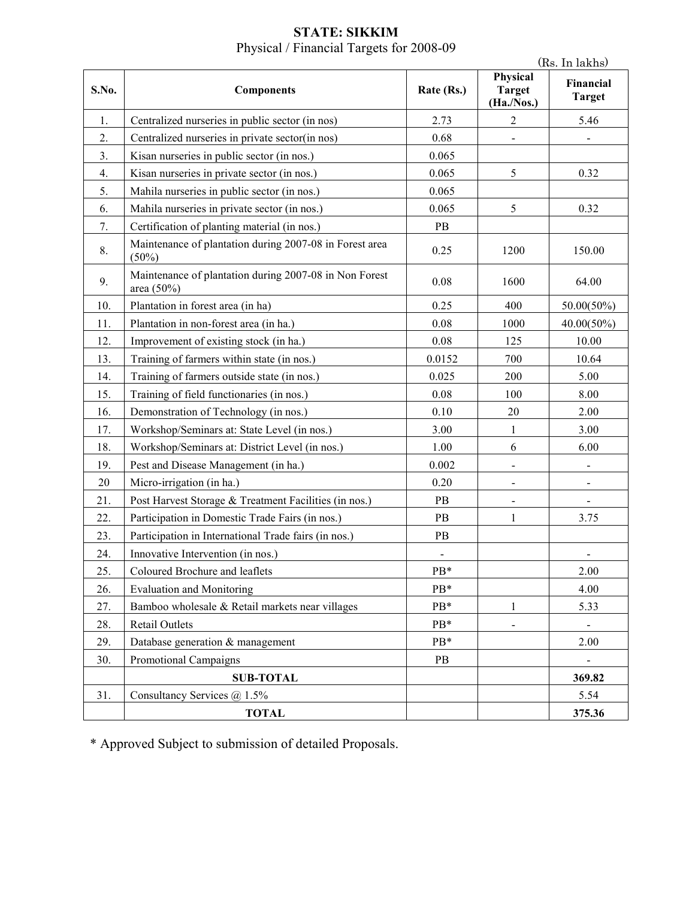#### **STATE: SIKKIM**  Physical / Financial Targets for 2008-09

|       |                                                                      |            |                                         | (Rs. In lakhs)             |
|-------|----------------------------------------------------------------------|------------|-----------------------------------------|----------------------------|
| S.No. | <b>Components</b>                                                    | Rate (Rs.) | Physical<br><b>Target</b><br>(Ha./Nos.) | Financial<br><b>Target</b> |
| 1.    | Centralized nurseries in public sector (in nos)                      | 2.73       | $\overline{2}$                          | 5.46                       |
| 2.    | Centralized nurseries in private sector(in nos)                      | 0.68       |                                         |                            |
| 3.    | Kisan nurseries in public sector (in nos.)                           | 0.065      |                                         |                            |
| 4.    | Kisan nurseries in private sector (in nos.)                          | 0.065      | 5                                       | 0.32                       |
| 5.    | Mahila nurseries in public sector (in nos.)                          | 0.065      |                                         |                            |
| 6.    | Mahila nurseries in private sector (in nos.)                         | 0.065      | 5                                       | 0.32                       |
| 7.    | Certification of planting material (in nos.)                         | PB         |                                         |                            |
| 8.    | Maintenance of plantation during 2007-08 in Forest area<br>(50%)     | 0.25       | 1200                                    | 150.00                     |
| 9.    | Maintenance of plantation during 2007-08 in Non Forest<br>area (50%) | 0.08       | 1600                                    | 64.00                      |
| 10.   | Plantation in forest area (in ha)                                    | 0.25       | 400                                     | 50.00(50%)                 |
| 11.   | Plantation in non-forest area (in ha.)                               | 0.08       | 1000                                    | 40.00(50%)                 |
| 12.   | Improvement of existing stock (in ha.)                               | 0.08       | 125                                     | 10.00                      |
| 13.   | Training of farmers within state (in nos.)                           | 0.0152     | 700                                     | 10.64                      |
| 14.   | Training of farmers outside state (in nos.)                          | 0.025      | 200                                     | 5.00                       |
| 15.   | Training of field functionaries (in nos.)                            | 0.08       | 100                                     | 8.00                       |
| 16.   | Demonstration of Technology (in nos.)                                | 0.10       | 20                                      | 2.00                       |
| 17.   | Workshop/Seminars at: State Level (in nos.)                          | 3.00       | $\mathbf{1}$                            | 3.00                       |
| 18.   | Workshop/Seminars at: District Level (in nos.)                       | 1.00       | 6                                       | 6.00                       |
| 19.   | Pest and Disease Management (in ha.)                                 | 0.002      | $\blacksquare$                          |                            |
| 20    | Micro-irrigation (in ha.)                                            | 0.20       |                                         |                            |
| 21.   | Post Harvest Storage & Treatment Facilities (in nos.)                | PB         | $\blacksquare$                          |                            |
| 22.   | Participation in Domestic Trade Fairs (in nos.)                      | PB         | 1                                       | 3.75                       |
| 23.   | Participation in International Trade fairs (in nos.)                 | PB         |                                         |                            |
| 24.   | Innovative Intervention (in nos.)                                    |            |                                         |                            |
| 25.   | Coloured Brochure and leaflets                                       | PB*        |                                         | 2.00                       |
| 26.   | <b>Evaluation and Monitoring</b>                                     | PB*        |                                         | 4.00                       |
| 27.   | Bamboo wholesale & Retail markets near villages                      | PB*        | $\mathbf{1}$                            | 5.33                       |
| 28.   | Retail Outlets                                                       | PB*        | $\blacksquare$                          |                            |
| 29.   | Database generation & management                                     | PB*        |                                         | 2.00                       |
| 30.   | Promotional Campaigns                                                | PB         |                                         |                            |
|       | <b>SUB-TOTAL</b>                                                     |            |                                         | 369.82                     |
| 31.   | Consultancy Services $\omega$ 1.5%                                   |            |                                         | 5.54                       |
|       | <b>TOTAL</b>                                                         |            |                                         | 375.36                     |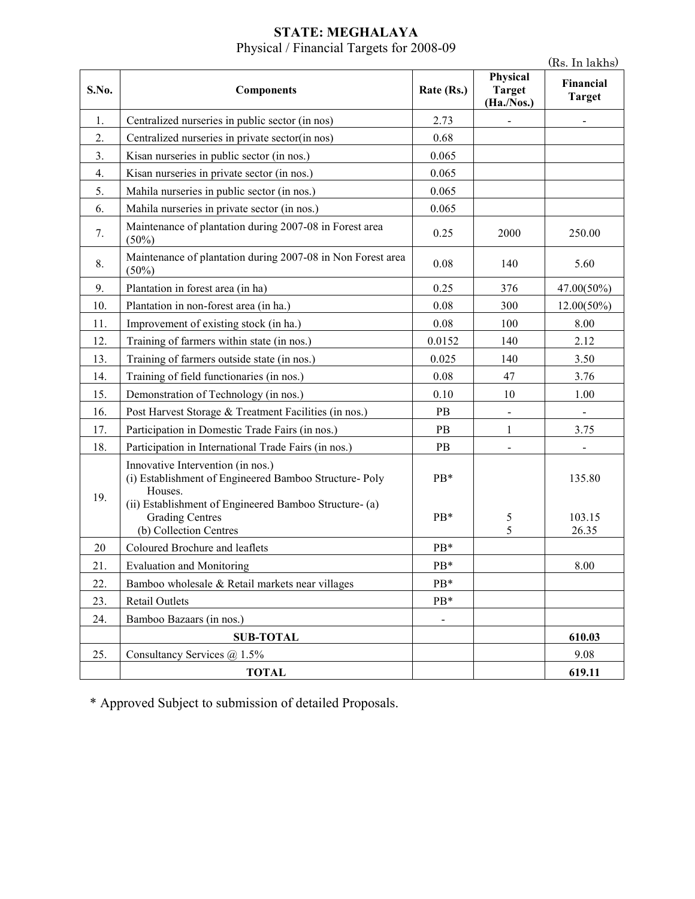#### **STATE: MEGHALAYA**  Physical / Financial Targets for 2008-09

|       |                                                                                                                                                                                            |                |                                         | (Rs. In lakhs)             |
|-------|--------------------------------------------------------------------------------------------------------------------------------------------------------------------------------------------|----------------|-----------------------------------------|----------------------------|
| S.No. | <b>Components</b>                                                                                                                                                                          | Rate (Rs.)     | Physical<br><b>Target</b><br>(Ha./Nos.) | Financial<br><b>Target</b> |
| 1.    | Centralized nurseries in public sector (in nos)                                                                                                                                            | 2.73           |                                         |                            |
| 2.    | Centralized nurseries in private sector(in nos)                                                                                                                                            | 0.68           |                                         |                            |
| 3.    | Kisan nurseries in public sector (in nos.)                                                                                                                                                 | 0.065          |                                         |                            |
| 4.    | Kisan nurseries in private sector (in nos.)                                                                                                                                                | 0.065          |                                         |                            |
| 5.    | Mahila nurseries in public sector (in nos.)                                                                                                                                                | 0.065          |                                         |                            |
| 6.    | Mahila nurseries in private sector (in nos.)                                                                                                                                               | 0.065          |                                         |                            |
| 7.    | Maintenance of plantation during 2007-08 in Forest area<br>(50%)                                                                                                                           | 0.25           | 2000                                    | 250.00                     |
| 8.    | Maintenance of plantation during 2007-08 in Non Forest area<br>$(50\%)$                                                                                                                    | 0.08           | 140                                     | 5.60                       |
| 9.    | Plantation in forest area (in ha)                                                                                                                                                          | 0.25           | 376                                     | 47.00(50%)                 |
| 10.   | Plantation in non-forest area (in ha.)                                                                                                                                                     | 0.08           | 300                                     | $12.00(50\%)$              |
| 11.   | Improvement of existing stock (in ha.)                                                                                                                                                     | 0.08           | 100                                     | 8.00                       |
| 12.   | Training of farmers within state (in nos.)                                                                                                                                                 | 0.0152         | 140                                     | 2.12                       |
| 13.   | Training of farmers outside state (in nos.)                                                                                                                                                | 0.025          | 140                                     | 3.50                       |
| 14.   | Training of field functionaries (in nos.)                                                                                                                                                  | 0.08           | 47                                      | 3.76                       |
| 15.   | Demonstration of Technology (in nos.)                                                                                                                                                      | 0.10           | 10                                      | 1.00                       |
| 16.   | Post Harvest Storage & Treatment Facilities (in nos.)                                                                                                                                      | PB             |                                         |                            |
| 17.   | Participation in Domestic Trade Fairs (in nos.)                                                                                                                                            | PB             | $\mathbf{1}$                            | 3.75                       |
| 18.   | Participation in International Trade Fairs (in nos.)                                                                                                                                       | PB             |                                         |                            |
| 19.   | Innovative Intervention (in nos.)<br>(i) Establishment of Engineered Bamboo Structure- Poly<br>Houses.<br>(ii) Establishment of Engineered Bamboo Structure- (a)<br><b>Grading Centres</b> | PB*<br>$PB*$   | 5                                       | 135.80<br>103.15           |
|       | (b) Collection Centres                                                                                                                                                                     |                | 5                                       | 26.35                      |
| 20    | Coloured Brochure and leaflets                                                                                                                                                             | PB*            |                                         |                            |
| 21.   | <b>Evaluation and Monitoring</b>                                                                                                                                                           | PB*            |                                         | 8.00                       |
| 22.   | Bamboo wholesale & Retail markets near villages                                                                                                                                            | PB*            |                                         |                            |
| 23.   | Retail Outlets                                                                                                                                                                             | PB*            |                                         |                            |
| 24.   | Bamboo Bazaars (in nos.)                                                                                                                                                                   | $\blacksquare$ |                                         |                            |
|       | <b>SUB-TOTAL</b>                                                                                                                                                                           |                |                                         | 610.03                     |
| 25.   | Consultancy Services @ 1.5%                                                                                                                                                                |                |                                         | 9.08                       |
|       | <b>TOTAL</b>                                                                                                                                                                               |                |                                         | 619.11                     |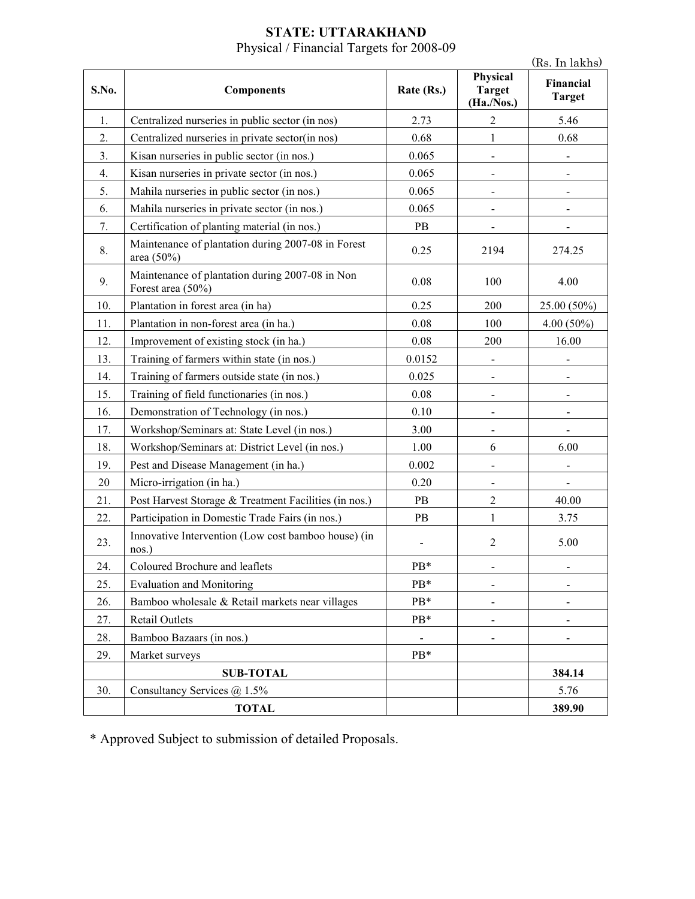#### **STATE: UTTARAKHAND**  Physical / Financial Targets for 2008-09

|       |                                                                      |            |                                         | (Rs. In lakhs)             |
|-------|----------------------------------------------------------------------|------------|-----------------------------------------|----------------------------|
| S.No. | <b>Components</b>                                                    | Rate (Rs.) | Physical<br><b>Target</b><br>(Ha./Nos.) | Financial<br><b>Target</b> |
| 1.    | Centralized nurseries in public sector (in nos)                      | 2.73       | $\overline{2}$                          | 5.46                       |
| 2.    | Centralized nurseries in private sector(in nos)                      | 0.68       | $\mathbf{1}$                            | 0.68                       |
| 3.    | Kisan nurseries in public sector (in nos.)                           | 0.065      |                                         |                            |
| 4.    | Kisan nurseries in private sector (in nos.)                          | 0.065      | $\qquad \qquad \blacksquare$            |                            |
| 5.    | Mahila nurseries in public sector (in nos.)                          | 0.065      |                                         |                            |
| 6.    | Mahila nurseries in private sector (in nos.)                         | 0.065      | $\qquad \qquad \blacksquare$            | -                          |
| 7.    | Certification of planting material (in nos.)                         | PB         | $\overline{\phantom{0}}$                |                            |
| 8.    | Maintenance of plantation during 2007-08 in Forest<br>area (50%)     | 0.25       | 2194                                    | 274.25                     |
| 9.    | Maintenance of plantation during 2007-08 in Non<br>Forest area (50%) | 0.08       | 100                                     | 4.00                       |
| 10.   | Plantation in forest area (in ha)                                    | 0.25       | 200                                     | 25.00 (50%)                |
| 11.   | Plantation in non-forest area (in ha.)                               | 0.08       | 100                                     | $4.00(50\%)$               |
| 12.   | Improvement of existing stock (in ha.)                               | 0.08       | 200                                     | 16.00                      |
| 13.   | Training of farmers within state (in nos.)                           | 0.0152     | $\qquad \qquad \blacksquare$            |                            |
| 14.   | Training of farmers outside state (in nos.)                          | 0.025      | $\qquad \qquad \blacksquare$            |                            |
| 15.   | Training of field functionaries (in nos.)                            | 0.08       |                                         |                            |
| 16.   | Demonstration of Technology (in nos.)                                | 0.10       | $\overline{a}$                          |                            |
| 17.   | Workshop/Seminars at: State Level (in nos.)                          | 3.00       |                                         |                            |
| 18.   | Workshop/Seminars at: District Level (in nos.)                       | 1.00       | 6                                       | 6.00                       |
| 19.   | Pest and Disease Management (in ha.)                                 | 0.002      | $\overline{a}$                          |                            |
| 20    | Micro-irrigation (in ha.)                                            | 0.20       |                                         |                            |
| 21.   | Post Harvest Storage & Treatment Facilities (in nos.)                | PB         | $\overline{c}$                          | 40.00                      |
| 22.   | Participation in Domestic Trade Fairs (in nos.)                      | PB         | $\mathbf{1}$                            | 3.75                       |
| 23.   | Innovative Intervention (Low cost bamboo house) (in<br>nos.)         |            | $\overline{2}$                          | 5.00                       |
| 24.   | Coloured Brochure and leaflets                                       | PB*        |                                         |                            |
| 25.   | <b>Evaluation and Monitoring</b>                                     | PB*        | -                                       |                            |
| 26.   | Bamboo wholesale & Retail markets near villages                      | PB*        |                                         |                            |
| 27.   | Retail Outlets                                                       | PB*        |                                         |                            |
| 28.   | Bamboo Bazaars (in nos.)                                             |            | $\overline{\phantom{0}}$                |                            |
| 29.   | Market surveys                                                       | PB*        |                                         |                            |
|       | <b>SUB-TOTAL</b>                                                     |            |                                         | 384.14                     |
| 30.   | Consultancy Services @ 1.5%                                          |            |                                         | 5.76                       |
|       | <b>TOTAL</b>                                                         |            |                                         | 389.90                     |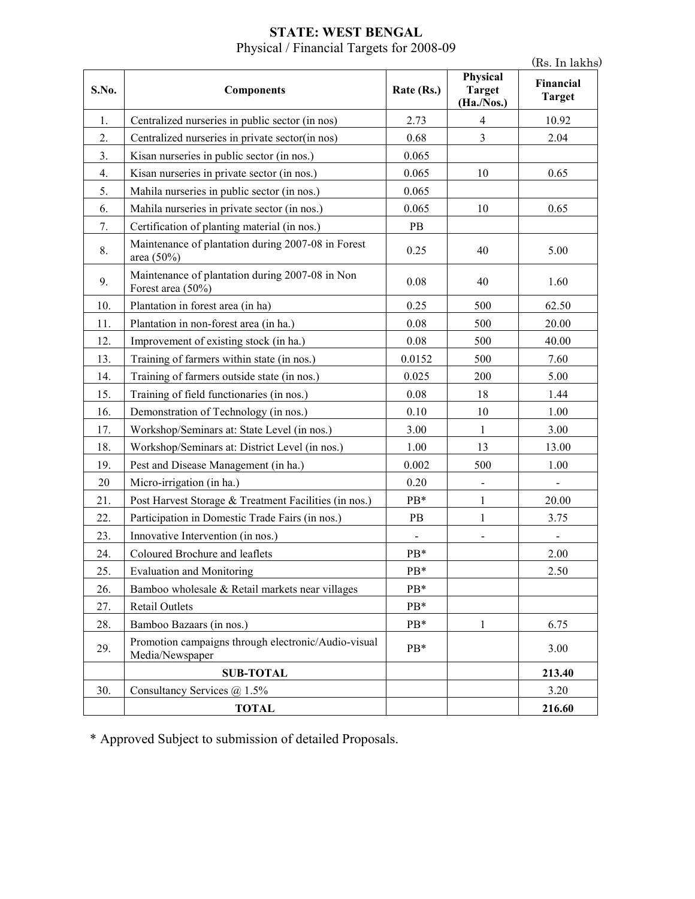### **STATE: WEST BENGAL**  Physical / Financial Targets for 2008-09

|       |                                                                        |                |                                         | (Rs. In lakhs)             |
|-------|------------------------------------------------------------------------|----------------|-----------------------------------------|----------------------------|
| S.No. | <b>Components</b>                                                      | Rate (Rs.)     | Physical<br><b>Target</b><br>(Ha./Nos.) | Financial<br><b>Target</b> |
| 1.    | Centralized nurseries in public sector (in nos)                        | 2.73           | 4                                       | 10.92                      |
| 2.    | Centralized nurseries in private sector(in nos)                        | 0.68           | $\overline{3}$                          | 2.04                       |
| 3.    | Kisan nurseries in public sector (in nos.)                             | 0.065          |                                         |                            |
| 4.    | Kisan nurseries in private sector (in nos.)                            | 0.065          | 10                                      | 0.65                       |
| 5.    | Mahila nurseries in public sector (in nos.)                            | 0.065          |                                         |                            |
| 6.    | Mahila nurseries in private sector (in nos.)                           | 0.065          | 10                                      | 0.65                       |
| 7.    | Certification of planting material (in nos.)                           | PB             |                                         |                            |
| 8.    | Maintenance of plantation during 2007-08 in Forest<br>area (50%)       | 0.25           | 40                                      | 5.00                       |
| 9.    | Maintenance of plantation during 2007-08 in Non<br>Forest area (50%)   | 0.08           | 40                                      | 1.60                       |
| 10.   | Plantation in forest area (in ha)                                      | 0.25           | 500                                     | 62.50                      |
| 11.   | Plantation in non-forest area (in ha.)                                 | 0.08           | 500                                     | 20.00                      |
| 12.   | Improvement of existing stock (in ha.)                                 | 0.08           | 500                                     | 40.00                      |
| 13.   | Training of farmers within state (in nos.)                             | 0.0152         | 500                                     | 7.60                       |
| 14.   | Training of farmers outside state (in nos.)                            | 0.025          | 200                                     | 5.00                       |
| 15.   | Training of field functionaries (in nos.)                              | 0.08           | 18                                      | 1.44                       |
| 16.   | Demonstration of Technology (in nos.)                                  | 0.10           | 10                                      | 1.00                       |
| 17.   | Workshop/Seminars at: State Level (in nos.)                            | 3.00           | $\mathbf{1}$                            | 3.00                       |
| 18.   | Workshop/Seminars at: District Level (in nos.)                         | 1.00           | 13                                      | 13.00                      |
| 19.   | Pest and Disease Management (in ha.)                                   | 0.002          | 500                                     | 1.00                       |
| 20    | Micro-irrigation (in ha.)                                              | 0.20           | $\blacksquare$                          |                            |
| 21.   | Post Harvest Storage & Treatment Facilities (in nos.)                  | PB*            | 1                                       | 20.00                      |
| 22.   | Participation in Domestic Trade Fairs (in nos.)                        | PB             | $\mathbf{1}$                            | 3.75                       |
| 23.   | Innovative Intervention (in nos.)                                      | $\blacksquare$ | $\qquad \qquad \blacksquare$            |                            |
| 24.   | Coloured Brochure and leaflets                                         | PB*            |                                         | 2.00                       |
| 25.   | <b>Evaluation and Monitoring</b>                                       | PB*            |                                         | 2.50                       |
| 26.   | Bamboo wholesale & Retail markets near villages                        | PB*            |                                         |                            |
| 27.   | Retail Outlets                                                         | PB*            |                                         |                            |
| 28.   | Bamboo Bazaars (in nos.)                                               | PB*            | 1                                       | 6.75                       |
| 29.   | Promotion campaigns through electronic/Audio-visual<br>Media/Newspaper | PB*            |                                         | 3.00                       |
|       | <b>SUB-TOTAL</b>                                                       |                |                                         | 213.40                     |
| 30.   | Consultancy Services @ 1.5%                                            |                |                                         | 3.20                       |
|       | <b>TOTAL</b>                                                           |                |                                         | 216.60                     |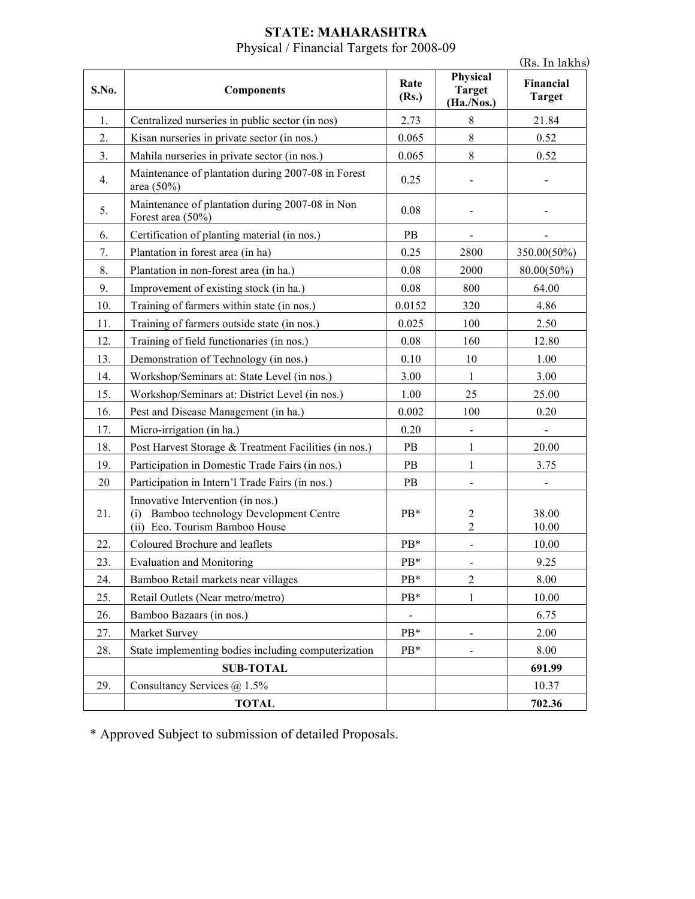#### **STATE: MAHARASHTRA**  Physical / Financial Targets for 2008-09

|       |                                                                                                                    |               |                                         | (Rs. In lakhs)             |
|-------|--------------------------------------------------------------------------------------------------------------------|---------------|-----------------------------------------|----------------------------|
| S.No. | <b>Components</b>                                                                                                  | Rate<br>(Rs.) | Physical<br><b>Target</b><br>(Ha./Nos.) | Financial<br><b>Target</b> |
| 1.    | Centralized nurseries in public sector (in nos)                                                                    | 2.73          | $\,$ 8 $\,$                             | 21.84                      |
| 2.    | Kisan nurseries in private sector (in nos.)                                                                        | 0.065         | 8                                       | 0.52                       |
| 3.    | Mahila nurseries in private sector (in nos.)                                                                       | 0.065         | 8                                       | 0.52                       |
| 4.    | Maintenance of plantation during 2007-08 in Forest<br>area $(50\%)$                                                | 0.25          |                                         |                            |
| 5.    | Maintenance of plantation during 2007-08 in Non<br>Forest area (50%)                                               | 0.08          |                                         |                            |
| 6.    | Certification of planting material (in nos.)                                                                       | PB            | $\blacksquare$                          |                            |
| 7.    | Plantation in forest area (in ha)                                                                                  | 0.25          | 2800                                    | 350.00(50%)                |
| 8.    | Plantation in non-forest area (in ha.)                                                                             | 0.08          | 2000                                    | 80.00(50%)                 |
| 9.    | Improvement of existing stock (in ha.)                                                                             | 0.08          | 800                                     | 64.00                      |
| 10.   | Training of farmers within state (in nos.)                                                                         | 0.0152        | 320                                     | 4.86                       |
| 11.   | Training of farmers outside state (in nos.)                                                                        | 0.025         | 100                                     | 2.50                       |
| 12.   | Training of field functionaries (in nos.)                                                                          | 0.08          | 160                                     | 12.80                      |
| 13.   | Demonstration of Technology (in nos.)                                                                              | 0.10          | 10                                      | 1.00                       |
| 14.   | Workshop/Seminars at: State Level (in nos.)                                                                        | 3.00          | 1                                       | 3.00                       |
| 15.   | Workshop/Seminars at: District Level (in nos.)                                                                     | 1.00          | 25                                      | 25.00                      |
| 16.   | Pest and Disease Management (in ha.)                                                                               | 0.002         | 100                                     | 0.20                       |
| 17.   | Micro-irrigation (in ha.)                                                                                          | 0.20          | $\blacksquare$                          |                            |
| 18.   | Post Harvest Storage & Treatment Facilities (in nos.)                                                              | PB            | 1                                       | 20.00                      |
| 19.   | Participation in Domestic Trade Fairs (in nos.)                                                                    | PB            | 1                                       | 3.75                       |
| 20    | Participation in Intern'l Trade Fairs (in nos.)                                                                    | PB            |                                         |                            |
| 21.   | Innovative Intervention (in nos.)<br>Bamboo technology Development Centre<br>(i)<br>(ii) Eco. Tourism Bamboo House | PB*           | 2<br>$\overline{2}$                     | 38.00<br>10.00             |
| 22.   | Coloured Brochure and leaflets                                                                                     | PB*           |                                         | 10.00                      |
| 23.   | <b>Evaluation and Monitoring</b>                                                                                   | PB*           |                                         | 9.25                       |
| 24.   | Bamboo Retail markets near villages                                                                                | PB*           | $\overline{2}$                          | 8.00                       |
| 25.   | Retail Outlets (Near metro/metro)                                                                                  | PB*           | 1                                       | 10.00                      |
| 26.   | Bamboo Bazaars (in nos.)                                                                                           |               |                                         | 6.75                       |
| 27.   | Market Survey                                                                                                      | PB*           |                                         | 2.00                       |
| 28.   | State implementing bodies including computerization                                                                | PB*           | $\blacksquare$                          | 8.00                       |
|       | <b>SUB-TOTAL</b>                                                                                                   |               |                                         | 691.99                     |
| 29.   | Consultancy Services @ 1.5%                                                                                        |               |                                         | 10.37                      |
|       | <b>TOTAL</b>                                                                                                       |               |                                         | 702.36                     |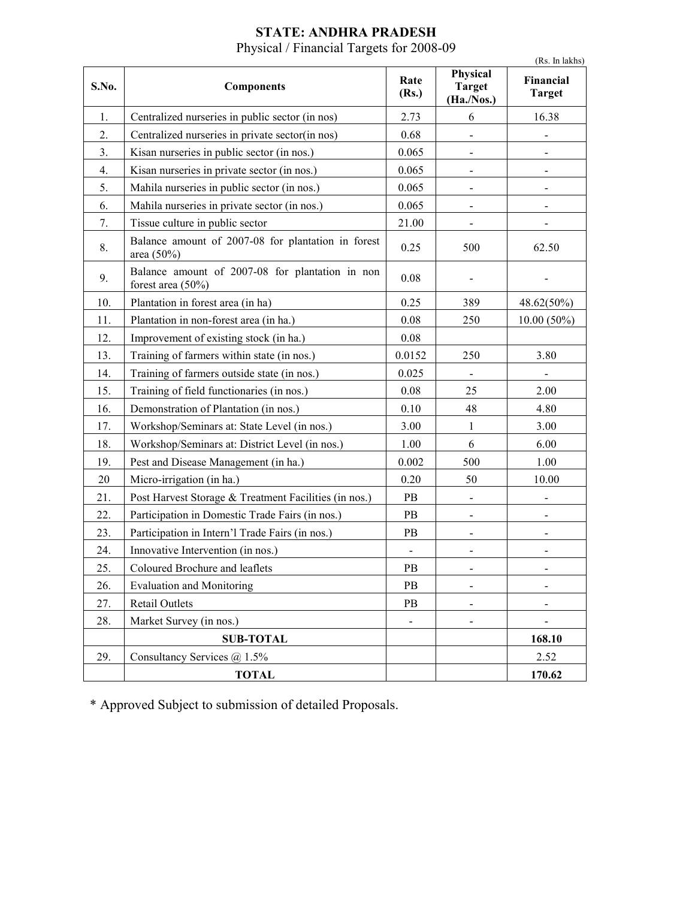| <b>STATE: ANDHRA PRADESH</b>             |  |
|------------------------------------------|--|
| Physical / Financial Targets for 2008-09 |  |

|       |                                                                      |                              |                                         | (Rs. In lakhs)             |
|-------|----------------------------------------------------------------------|------------------------------|-----------------------------------------|----------------------------|
| S.No. | <b>Components</b>                                                    | Rate<br>(Rs.)                | Physical<br><b>Target</b><br>(Ha./Nos.) | Financial<br><b>Target</b> |
| 1.    | Centralized nurseries in public sector (in nos)                      | 2.73                         | 6                                       | 16.38                      |
| 2.    | Centralized nurseries in private sector(in nos)                      | 0.68                         |                                         |                            |
| 3.    | Kisan nurseries in public sector (in nos.)                           | 0.065                        |                                         |                            |
| 4.    | Kisan nurseries in private sector (in nos.)                          | 0.065                        |                                         |                            |
| 5.    | Mahila nurseries in public sector (in nos.)                          | 0.065                        |                                         |                            |
| 6.    | Mahila nurseries in private sector (in nos.)                         | 0.065                        |                                         |                            |
| 7.    | Tissue culture in public sector                                      | 21.00                        |                                         |                            |
| 8.    | Balance amount of 2007-08 for plantation in forest<br>area $(50\%)$  | 0.25                         | 500                                     | 62.50                      |
| 9.    | Balance amount of 2007-08 for plantation in non<br>forest area (50%) | 0.08                         |                                         |                            |
| 10.   | Plantation in forest area (in ha)                                    | 0.25                         | 389                                     | 48.62(50%)                 |
| 11.   | Plantation in non-forest area (in ha.)                               | 0.08                         | 250                                     | $10.00(50\%)$              |
| 12.   | Improvement of existing stock (in ha.)                               | 0.08                         |                                         |                            |
| 13.   | Training of farmers within state (in nos.)                           | 0.0152                       | 250                                     | 3.80                       |
| 14.   | Training of farmers outside state (in nos.)                          | 0.025                        |                                         |                            |
| 15.   | Training of field functionaries (in nos.)                            | 0.08                         | 25                                      | 2.00                       |
| 16.   | Demonstration of Plantation (in nos.)                                | 0.10                         | 48                                      | 4.80                       |
| 17.   | Workshop/Seminars at: State Level (in nos.)                          | 3.00                         | $\mathbf{1}$                            | 3.00                       |
| 18.   | Workshop/Seminars at: District Level (in nos.)                       | 1.00                         | 6                                       | 6.00                       |
| 19.   | Pest and Disease Management (in ha.)                                 | 0.002                        | 500                                     | 1.00                       |
| 20    | Micro-irrigation (in ha.)                                            | 0.20                         | 50                                      | 10.00                      |
| 21.   | Post Harvest Storage & Treatment Facilities (in nos.)                | PB                           |                                         |                            |
| 22.   | Participation in Domestic Trade Fairs (in nos.)                      | PB                           |                                         |                            |
| 23.   | Participation in Intern'l Trade Fairs (in nos.)                      | PB                           |                                         |                            |
| 24.   | Innovative Intervention (in nos.)                                    | $\qquad \qquad \blacksquare$ |                                         |                            |
| 25.   | Coloured Brochure and leaflets                                       | PB                           | -                                       |                            |
| 26.   | <b>Evaluation and Monitoring</b>                                     | PB                           |                                         |                            |
| 27.   | Retail Outlets                                                       | PB                           | -                                       |                            |
| 28.   | Market Survey (in nos.)                                              |                              |                                         |                            |
|       | <b>SUB-TOTAL</b>                                                     |                              |                                         | 168.10                     |
| 29.   | Consultancy Services @ 1.5%                                          |                              |                                         | 2.52                       |
|       | <b>TOTAL</b>                                                         |                              |                                         | 170.62                     |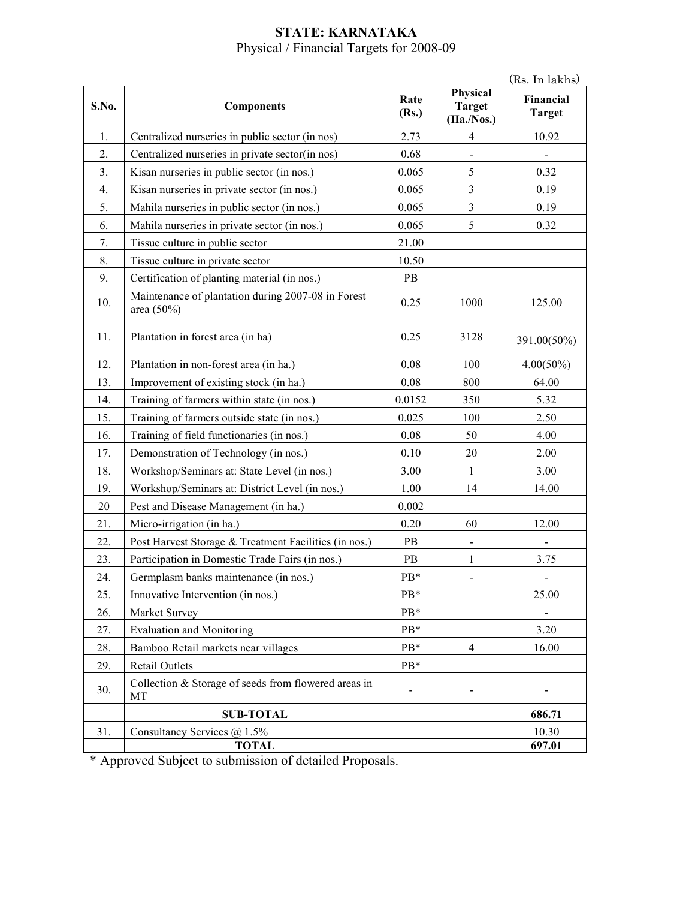#### **STATE: KARNATAKA**  Physical / Financial Targets for 2008-09

 $(R_s$ . In lakhs)

| S.No. |                                                                  | Rate   | Physical<br><b>Target</b> | (Rs. In lakhs)<br>Financial |
|-------|------------------------------------------------------------------|--------|---------------------------|-----------------------------|
|       | <b>Components</b>                                                | (Rs.)  | (Ha./Nos.)                | <b>Target</b>               |
| 1.    | Centralized nurseries in public sector (in nos)                  | 2.73   | $\overline{4}$            | 10.92                       |
| 2.    | Centralized nurseries in private sector(in nos)                  | 0.68   |                           |                             |
| 3.    | Kisan nurseries in public sector (in nos.)                       | 0.065  | 5                         | 0.32                        |
| 4.    | Kisan nurseries in private sector (in nos.)                      | 0.065  | $\mathfrak{Z}$            | 0.19                        |
| 5.    | Mahila nurseries in public sector (in nos.)                      | 0.065  | $\overline{3}$            | 0.19                        |
| 6.    | Mahila nurseries in private sector (in nos.)                     | 0.065  | 5                         | 0.32                        |
| 7.    | Tissue culture in public sector                                  | 21.00  |                           |                             |
| 8.    | Tissue culture in private sector                                 | 10.50  |                           |                             |
| 9.    | Certification of planting material (in nos.)                     | PB     |                           |                             |
| 10.   | Maintenance of plantation during 2007-08 in Forest<br>area (50%) | 0.25   | 1000                      | 125.00                      |
| 11.   | Plantation in forest area (in ha)                                | 0.25   | 3128                      | 391.00(50%)                 |
| 12.   | Plantation in non-forest area (in ha.)                           | 0.08   | 100                       | $4.00(50\%)$                |
| 13.   | Improvement of existing stock (in ha.)                           | 0.08   | 800                       | 64.00                       |
| 14.   | Training of farmers within state (in nos.)                       | 0.0152 | 350                       | 5.32                        |
| 15.   | Training of farmers outside state (in nos.)                      | 0.025  | 100                       | 2.50                        |
| 16.   | Training of field functionaries (in nos.)                        | 0.08   | 50                        | 4.00                        |
| 17.   | Demonstration of Technology (in nos.)                            | 0.10   | 20                        | 2.00                        |
| 18.   | Workshop/Seminars at: State Level (in nos.)                      | 3.00   | $\mathbf{1}$              | 3.00                        |
| 19.   | Workshop/Seminars at: District Level (in nos.)                   | 1.00   | 14                        | 14.00                       |
| 20    | Pest and Disease Management (in ha.)                             | 0.002  |                           |                             |
| 21.   | Micro-irrigation (in ha.)                                        | 0.20   | 60                        | 12.00                       |
| 22.   | Post Harvest Storage & Treatment Facilities (in nos.)            | PB     |                           |                             |
| 23.   | Participation in Domestic Trade Fairs (in nos.)                  | PB     | 1                         | 3.75                        |
| 24.   | Germplasm banks maintenance (in nos.)                            | PB*    |                           |                             |
| 25.   | Innovative Intervention (in nos.)                                | $PB*$  |                           | 25.00                       |
| 26.   | Market Survey                                                    | PB*    |                           |                             |
| 27.   | <b>Evaluation and Monitoring</b>                                 | PB*    |                           | 3.20                        |
| 28.   | Bamboo Retail markets near villages                              | PB*    | $\overline{4}$            | 16.00                       |
| 29.   | <b>Retail Outlets</b>                                            | PB*    |                           |                             |
| 30.   | Collection & Storage of seeds from flowered areas in<br>MT       |        |                           |                             |
|       | <b>SUB-TOTAL</b>                                                 |        |                           | 686.71                      |
| 31.   | Consultancy Services @ 1.5%                                      |        |                           | 10.30                       |
|       | <b>TOTAL</b>                                                     |        |                           | 697.01                      |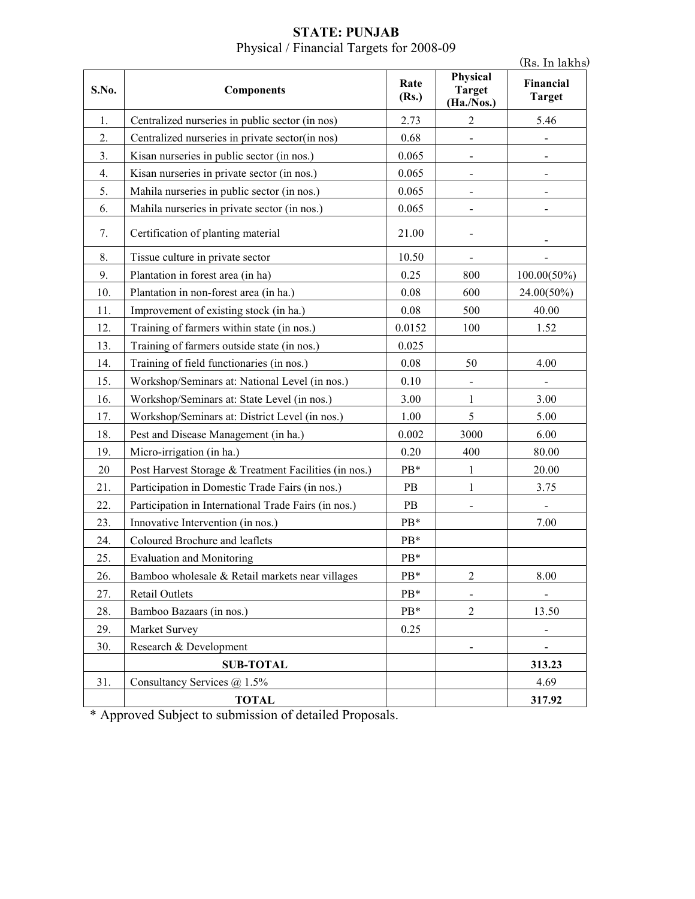| S.No. | <b>Components</b>                                     | Rate<br>(Rs.) | Physical<br><b>Target</b><br>(Ha./Nos.) | Financial<br><b>Target</b>   |
|-------|-------------------------------------------------------|---------------|-----------------------------------------|------------------------------|
| 1.    | Centralized nurseries in public sector (in nos)       | 2.73          | $\overline{2}$                          | 5.46                         |
| 2.    | Centralized nurseries in private sector(in nos)       | 0.68          |                                         |                              |
| 3.    | Kisan nurseries in public sector (in nos.)            | 0.065         |                                         |                              |
| 4.    | Kisan nurseries in private sector (in nos.)           | 0.065         |                                         |                              |
| 5.    | Mahila nurseries in public sector (in nos.)           | 0.065         |                                         |                              |
| 6.    | Mahila nurseries in private sector (in nos.)          | 0.065         |                                         |                              |
| 7.    | Certification of planting material                    | 21.00         |                                         |                              |
| 8.    | Tissue culture in private sector                      | 10.50         |                                         |                              |
| 9.    | Plantation in forest area (in ha)                     | 0.25          | 800                                     | $100.00(50\%)$               |
| 10.   | Plantation in non-forest area (in ha.)                | 0.08          | 600                                     | 24.00(50%)                   |
| 11.   | Improvement of existing stock (in ha.)                | 0.08          | 500                                     | 40.00                        |
| 12.   | Training of farmers within state (in nos.)            | 0.0152        | 100                                     | 1.52                         |
| 13.   | Training of farmers outside state (in nos.)           | 0.025         |                                         |                              |
| 14.   | Training of field functionaries (in nos.)             | 0.08          | 50                                      | 4.00                         |
| 15.   | Workshop/Seminars at: National Level (in nos.)        | 0.10          |                                         |                              |
| 16.   | Workshop/Seminars at: State Level (in nos.)           | 3.00          | $\mathbf{1}$                            | 3.00                         |
| 17.   | Workshop/Seminars at: District Level (in nos.)        | 1.00          | 5                                       | 5.00                         |
| 18.   | Pest and Disease Management (in ha.)                  | 0.002         | 3000                                    | 6.00                         |
| 19.   | Micro-irrigation (in ha.)                             | 0.20          | 400                                     | 80.00                        |
| 20    | Post Harvest Storage & Treatment Facilities (in nos.) | PB*           | 1                                       | 20.00                        |
| 21.   | Participation in Domestic Trade Fairs (in nos.)       | PB            | $\mathbf{1}$                            | 3.75                         |
| 22.   | Participation in International Trade Fairs (in nos.)  | PB            |                                         |                              |
| 23.   | Innovative Intervention (in nos.)                     | PB*           |                                         | 7.00                         |
| 24.   | Coloured Brochure and leaflets                        | PB*           |                                         |                              |
| 25.   | <b>Evaluation and Monitoring</b>                      | $PB*$         |                                         |                              |
| 26.   | Bamboo wholesale & Retail markets near villages       | PB*           | $\overline{2}$                          | 8.00                         |
| 27.   | Retail Outlets                                        | $PB*$         |                                         |                              |
| 28.   | Bamboo Bazaars (in nos.)                              | PB*           | $\overline{2}$                          | 13.50                        |
| 29.   | Market Survey                                         | 0.25          |                                         |                              |
| 30.   | Research & Development                                |               |                                         | $\qquad \qquad \blacksquare$ |
|       | <b>SUB-TOTAL</b>                                      |               |                                         | 313.23                       |
| 31.   | Consultancy Services @ 1.5%                           |               |                                         | 4.69                         |
|       | <b>TOTAL</b>                                          |               |                                         | 317.92                       |

#### **STATE: PUNJAB**  Physical / Financial Targets for 2008-09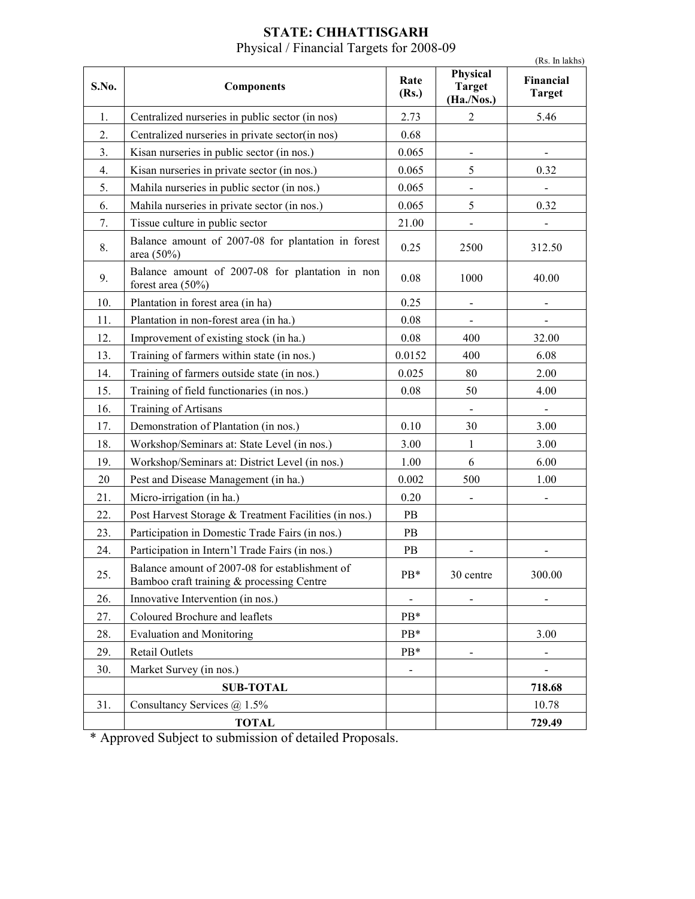| <b>STATE: CHHATTISGARH</b>               |  |  |  |  |
|------------------------------------------|--|--|--|--|
| Physical / Financial Targets for 2008-09 |  |  |  |  |

| S.No. | <b>Components</b>                                                                           | Rate<br>(Rs.) | Physical<br><b>Target</b><br>(Ha./Nos.) | Financial<br><b>Target</b> |
|-------|---------------------------------------------------------------------------------------------|---------------|-----------------------------------------|----------------------------|
| 1.    | Centralized nurseries in public sector (in nos)                                             | 2.73          | $\overline{2}$                          | 5.46                       |
| 2.    | Centralized nurseries in private sector(in nos)                                             | 0.68          |                                         |                            |
| 3.    | Kisan nurseries in public sector (in nos.)                                                  | 0.065         |                                         |                            |
| 4.    | Kisan nurseries in private sector (in nos.)                                                 | 0.065         | 5                                       | 0.32                       |
| 5.    | Mahila nurseries in public sector (in nos.)                                                 | 0.065         |                                         |                            |
| 6.    | Mahila nurseries in private sector (in nos.)                                                | 0.065         | 5                                       | 0.32                       |
| 7.    | Tissue culture in public sector                                                             | 21.00         |                                         |                            |
| 8.    | Balance amount of 2007-08 for plantation in forest<br>area (50%)                            | 0.25          | 2500                                    | 312.50                     |
| 9.    | Balance amount of 2007-08 for plantation in non<br>forest area $(50\%)$                     | 0.08          | 1000                                    | 40.00                      |
| 10.   | Plantation in forest area (in ha)                                                           | 0.25          |                                         |                            |
| 11.   | Plantation in non-forest area (in ha.)                                                      | 0.08          |                                         |                            |
| 12.   | Improvement of existing stock (in ha.)                                                      | 0.08          | 400                                     | 32.00                      |
| 13.   | Training of farmers within state (in nos.)                                                  | 0.0152        | 400                                     | 6.08                       |
| 14.   | Training of farmers outside state (in nos.)                                                 | 0.025         | 80                                      | 2.00                       |
| 15.   | Training of field functionaries (in nos.)                                                   | 0.08          | 50                                      | 4.00                       |
| 16.   | <b>Training of Artisans</b>                                                                 |               |                                         |                            |
| 17.   | Demonstration of Plantation (in nos.)                                                       | 0.10          | 30                                      | 3.00                       |
| 18.   | Workshop/Seminars at: State Level (in nos.)                                                 | 3.00          | $\mathbf{1}$                            | 3.00                       |
| 19.   | Workshop/Seminars at: District Level (in nos.)                                              | 1.00          | 6                                       | 6.00                       |
| 20    | Pest and Disease Management (in ha.)                                                        | 0.002         | 500                                     | 1.00                       |
| 21.   | Micro-irrigation (in ha.)                                                                   | 0.20          |                                         |                            |
| 22.   | Post Harvest Storage & Treatment Facilities (in nos.)                                       | PB            |                                         |                            |
| 23.   | Participation in Domestic Trade Fairs (in nos.)                                             | PB            |                                         |                            |
| 24.   | Participation in Intern'l Trade Fairs (in nos.)                                             | PB            |                                         |                            |
| 25.   | Balance amount of 2007-08 for establishment of<br>Bamboo craft training & processing Centre | PB*           | 30 centre                               | 300.00                     |
| 26.   | Innovative Intervention (in nos.)                                                           |               |                                         |                            |
| 27.   | Coloured Brochure and leaflets                                                              | PB*           |                                         |                            |
| 28.   | <b>Evaluation and Monitoring</b>                                                            | PB*           |                                         | 3.00                       |
| 29.   | Retail Outlets                                                                              | $PB*$         |                                         |                            |
| 30.   | Market Survey (in nos.)                                                                     |               |                                         |                            |
|       | <b>SUB-TOTAL</b>                                                                            |               |                                         | 718.68                     |
| 31.   | Consultancy Services $\omega$ 1.5%                                                          |               |                                         | 10.78                      |
|       | <b>TOTAL</b>                                                                                |               |                                         | 729.49                     |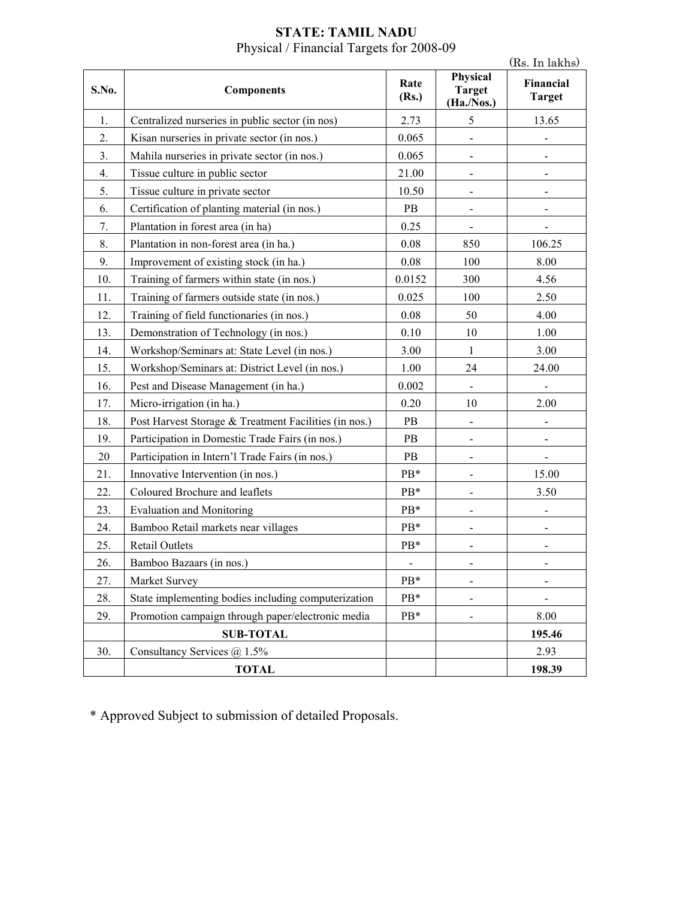|       |                                                       |                |                                         | (Rs. In lakhs)             |
|-------|-------------------------------------------------------|----------------|-----------------------------------------|----------------------------|
| S.No. | <b>Components</b>                                     | Rate<br>(Rs.)  | Physical<br><b>Target</b><br>(Ha./Nos.) | Financial<br><b>Target</b> |
| 1.    | Centralized nurseries in public sector (in nos)       | 2.73           | 5                                       | 13.65                      |
| 2.    | Kisan nurseries in private sector (in nos.)           | 0.065          |                                         |                            |
| 3.    | Mahila nurseries in private sector (in nos.)          | 0.065          | $\blacksquare$                          |                            |
| 4.    | Tissue culture in public sector                       | 21.00          | $\qquad \qquad \blacksquare$            |                            |
| 5.    | Tissue culture in private sector                      | 10.50          |                                         |                            |
| 6.    | Certification of planting material (in nos.)          | <b>PB</b>      | $\overline{\phantom{0}}$                | $\overline{\phantom{0}}$   |
| 7.    | Plantation in forest area (in ha)                     | 0.25           |                                         |                            |
| 8.    | Plantation in non-forest area (in ha.)                | 0.08           | 850                                     | 106.25                     |
| 9.    | Improvement of existing stock (in ha.)                | 0.08           | 100                                     | 8.00                       |
| 10.   | Training of farmers within state (in nos.)            | 0.0152         | 300                                     | 4.56                       |
| 11.   | Training of farmers outside state (in nos.)           | 0.025          | 100                                     | 2.50                       |
| 12.   | Training of field functionaries (in nos.)             | 0.08           | 50                                      | 4.00                       |
| 13.   | Demonstration of Technology (in nos.)                 | 0.10           | 10                                      | 1.00                       |
| 14.   | Workshop/Seminars at: State Level (in nos.)           | 3.00           | $\mathbf{1}$                            | 3.00                       |
| 15.   | Workshop/Seminars at: District Level (in nos.)        | 1.00           | 24                                      | 24.00                      |
| 16.   | Pest and Disease Management (in ha.)                  | 0.002          |                                         |                            |
| 17.   | Micro-irrigation (in ha.)                             | 0.20           | 10                                      | 2.00                       |
| 18.   | Post Harvest Storage & Treatment Facilities (in nos.) | PB             |                                         |                            |
| 19.   | Participation in Domestic Trade Fairs (in nos.)       | PB             | $\qquad \qquad \blacksquare$            | $\overline{\phantom{a}}$   |
| 20    | Participation in Intern'l Trade Fairs (in nos.)       | PB             |                                         |                            |
| 21.   | Innovative Intervention (in nos.)                     | PB*            | -                                       | 15.00                      |
| 22.   | Coloured Brochure and leaflets                        | PB*            |                                         | 3.50                       |
| 23.   | <b>Evaluation and Monitoring</b>                      | $PB*$          | $\blacksquare$                          |                            |
| 24.   | Bamboo Retail markets near villages                   | PB*            | $\overline{\phantom{0}}$                |                            |
| 25.   | Retail Outlets                                        | PB*            |                                         |                            |
| 26.   | Bamboo Bazaars (in nos.)                              | $\blacksquare$ |                                         |                            |
| 27.   | Market Survey                                         | PB*            |                                         |                            |
| 28.   | State implementing bodies including computerization   | PB*            |                                         |                            |
| 29.   | Promotion campaign through paper/electronic media     | PB*            |                                         | 8.00                       |
|       | <b>SUB-TOTAL</b>                                      |                |                                         | 195.46                     |
| 30.   | Consultancy Services @ 1.5%                           |                |                                         | 2.93                       |
|       | <b>TOTAL</b>                                          |                |                                         | 198.39                     |

#### **STATE: TAMIL NADU**  Physical / Financial Targets for 2008-09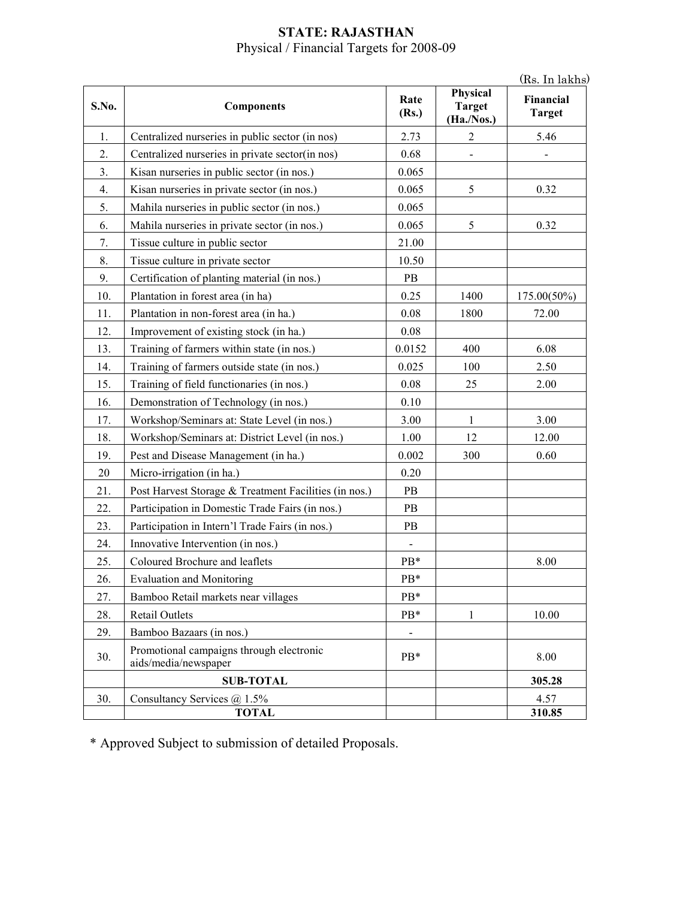### **STATE: RAJASTHAN**  Physical / Financial Targets for 2008-09

(Rs. In lakhs)

| S.No. | <b>Components</b>                                                | Rate<br>(Rs.) | Physical<br><b>Target</b><br>(Ha./Nos.) | (165. III laniis<br>Financial<br><b>Target</b> |
|-------|------------------------------------------------------------------|---------------|-----------------------------------------|------------------------------------------------|
| 1.    | Centralized nurseries in public sector (in nos)                  | 2.73          | $\overline{c}$                          | 5.46                                           |
| 2.    | Centralized nurseries in private sector(in nos)                  | 0.68          |                                         |                                                |
| 3.    | Kisan nurseries in public sector (in nos.)                       | 0.065         |                                         |                                                |
| 4.    | Kisan nurseries in private sector (in nos.)                      | 0.065         | 5                                       | 0.32                                           |
| 5.    | Mahila nurseries in public sector (in nos.)                      | 0.065         |                                         |                                                |
| 6.    | Mahila nurseries in private sector (in nos.)                     | 0.065         | 5                                       | 0.32                                           |
| 7.    | Tissue culture in public sector                                  | 21.00         |                                         |                                                |
| 8.    | Tissue culture in private sector                                 | 10.50         |                                         |                                                |
| 9.    | Certification of planting material (in nos.)                     | PB            |                                         |                                                |
| 10.   | Plantation in forest area (in ha)                                | 0.25          | 1400                                    | 175.00(50%)                                    |
| 11.   | Plantation in non-forest area (in ha.)                           | 0.08          | 1800                                    | 72.00                                          |
| 12.   | Improvement of existing stock (in ha.)                           | 0.08          |                                         |                                                |
| 13.   | Training of farmers within state (in nos.)                       | 0.0152        | 400                                     | 6.08                                           |
| 14.   | Training of farmers outside state (in nos.)                      | 0.025         | 100                                     | 2.50                                           |
| 15.   | Training of field functionaries (in nos.)                        | 0.08          | 25                                      | 2.00                                           |
| 16.   | Demonstration of Technology (in nos.)                            | 0.10          |                                         |                                                |
| 17.   | Workshop/Seminars at: State Level (in nos.)                      | 3.00          | $\mathbf{1}$                            | 3.00                                           |
| 18.   | Workshop/Seminars at: District Level (in nos.)                   | 1.00          | 12                                      | 12.00                                          |
| 19.   | Pest and Disease Management (in ha.)                             | 0.002         | 300                                     | 0.60                                           |
| 20    | Micro-irrigation (in ha.)                                        | 0.20          |                                         |                                                |
| 21.   | Post Harvest Storage & Treatment Facilities (in nos.)            | PB            |                                         |                                                |
| 22.   | Participation in Domestic Trade Fairs (in nos.)                  | PB            |                                         |                                                |
| 23.   | Participation in Intern'l Trade Fairs (in nos.)                  | PB            |                                         |                                                |
| 24.   | Innovative Intervention (in nos.)                                |               |                                         |                                                |
| 25.   | Coloured Brochure and leaflets                                   | PB*           |                                         | 8.00                                           |
| 26.   | <b>Evaluation and Monitoring</b>                                 | PB*           |                                         |                                                |
| 27.   | Bamboo Retail markets near villages                              | PB*           |                                         |                                                |
| 28.   | <b>Retail Outlets</b>                                            | PB*           | 1                                       | 10.00                                          |
| 29.   | Bamboo Bazaars (in nos.)                                         |               |                                         |                                                |
| 30.   | Promotional campaigns through electronic<br>aids/media/newspaper | PB*           |                                         | 8.00                                           |
|       | <b>SUB-TOTAL</b>                                                 |               |                                         | 305.28                                         |
| 30.   | Consultancy Services @ 1.5%                                      |               |                                         | 4.57                                           |
|       | <b>TOTAL</b>                                                     |               |                                         | 310.85                                         |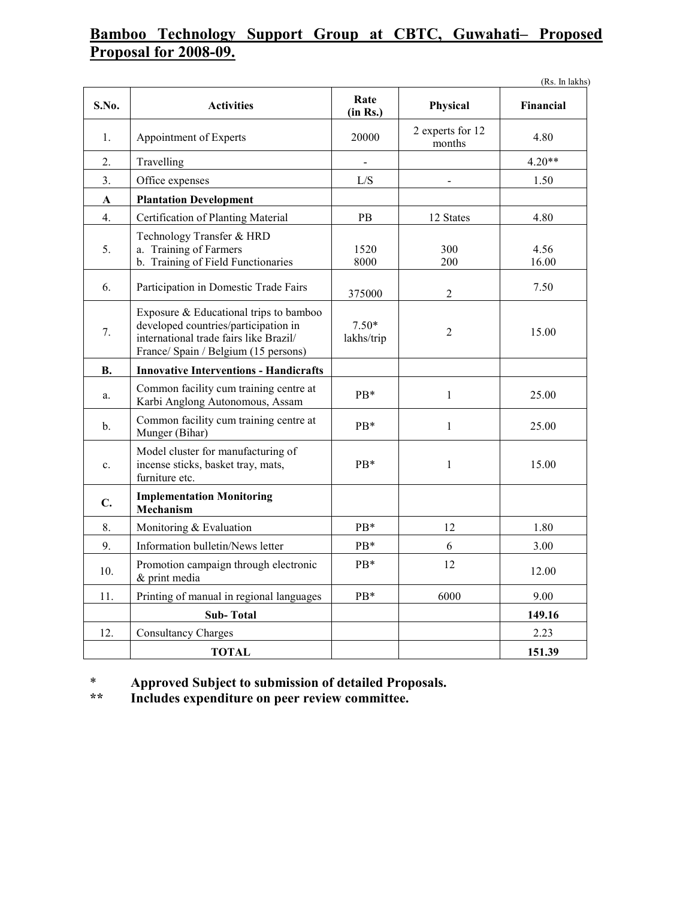## **Bamboo Technology Support Group at CBTC, Guwahati– Proposed Proposal for 2008-09.**

|                |                                                                                                                                                                  |                       |                            | (Rs. In lakhs) |
|----------------|------------------------------------------------------------------------------------------------------------------------------------------------------------------|-----------------------|----------------------------|----------------|
| S.No.          | <b>Activities</b>                                                                                                                                                | Rate<br>(in Rs.)      | Physical                   | Financial      |
| 1.             | Appointment of Experts                                                                                                                                           | 20000                 | 2 experts for 12<br>months | 4.80           |
| 2.             | Travelling                                                                                                                                                       | ÷.                    |                            | $4.20**$       |
| 3.             | Office expenses                                                                                                                                                  | L/S                   | $\overline{\phantom{0}}$   | 1.50           |
| $\mathbf{A}$   | <b>Plantation Development</b>                                                                                                                                    |                       |                            |                |
| 4.             | Certification of Planting Material                                                                                                                               | PB                    | 12 States                  | 4.80           |
| 5.             | Technology Transfer & HRD<br>a. Training of Farmers<br>b. Training of Field Functionaries                                                                        | 1520<br>8000          | 300<br>200                 | 4.56<br>16.00  |
| 6.             | Participation in Domestic Trade Fairs                                                                                                                            | 375000                | $\overline{2}$             | 7.50           |
| 7.             | Exposure & Educational trips to bamboo<br>developed countries/participation in<br>international trade fairs like Brazil/<br>France/ Spain / Belgium (15 persons) | $7.50*$<br>lakhs/trip | 2                          | 15.00          |
| <b>B.</b>      | <b>Innovative Interventions - Handicrafts</b>                                                                                                                    |                       |                            |                |
| a.             | Common facility cum training centre at<br>Karbi Anglong Autonomous, Assam                                                                                        | P <sub>B</sub> *      | $\mathbf{1}$               | 25.00          |
| $\mathbf{b}$ . | Common facility cum training centre at<br>Munger (Bihar)                                                                                                         | $PB*$                 | $\mathbf{1}$               | 25.00          |
| c.             | Model cluster for manufacturing of<br>incense sticks, basket tray, mats,<br>furniture etc.                                                                       | PB*                   | $\mathbf{1}$               | 15.00          |
| C.             | <b>Implementation Monitoring</b><br>Mechanism                                                                                                                    |                       |                            |                |
| 8.             | Monitoring & Evaluation                                                                                                                                          | PB*                   | 12                         | 1.80           |
| 9.             | Information bulletin/News letter                                                                                                                                 | PB*                   | 6                          | 3.00           |
| 10.            | Promotion campaign through electronic<br>& print media                                                                                                           | PB*                   | 12                         | 12.00          |
| 11.            | Printing of manual in regional languages                                                                                                                         | PB*                   | 6000                       | 9.00           |
|                | <b>Sub-Total</b>                                                                                                                                                 |                       |                            | 149.16         |
| 12.            | <b>Consultancy Charges</b>                                                                                                                                       |                       |                            | 2.23           |
|                | <b>TOTAL</b>                                                                                                                                                     |                       |                            | 151.39         |

\* **Approved Subject to submission of detailed Proposals.** 

Includes expenditure on peer review committee.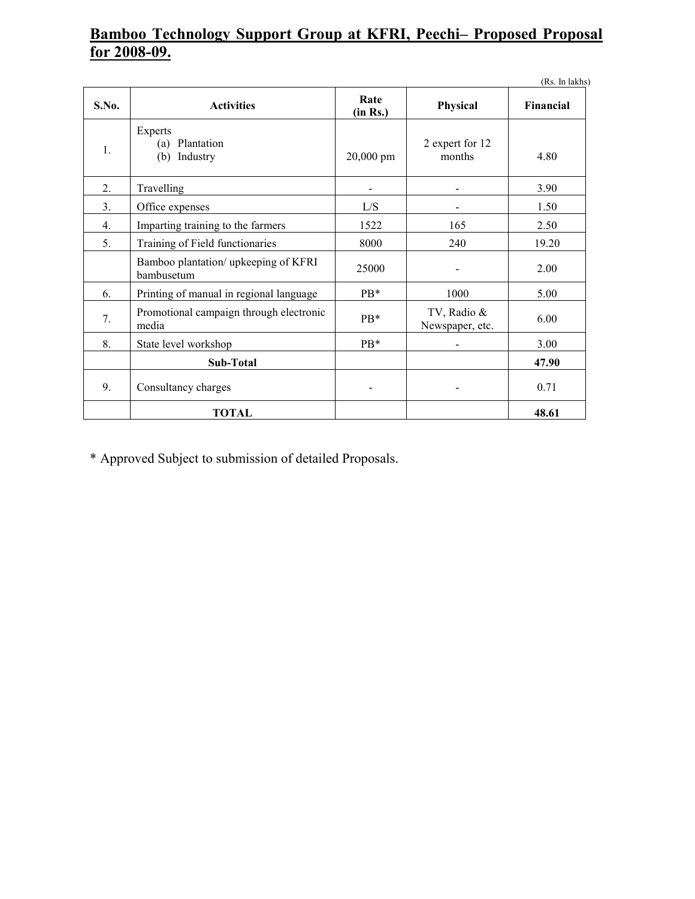# **Bamboo Technology Support Group at KFRI, Peechi– Proposed Proposal for 2008-09.**

|                |                                                    |                  |                                | (Rs. In lakhs) |
|----------------|----------------------------------------------------|------------------|--------------------------------|----------------|
| S.No.          | <b>Activities</b>                                  | Rate<br>(in Rs.) | Physical                       | Financial      |
| $\mathbf{1}$ . | Experts<br>(a) Plantation<br>Industry<br>(b)       | 20,000 pm        | 2 expert for 12<br>months      | 4.80           |
| 2.             | Travelling                                         |                  |                                | 3.90           |
| 3.             | Office expenses                                    | L/S              |                                | 1.50           |
| 4.             | Imparting training to the farmers                  | 1522             | 165                            | 2.50           |
| 5.             | Training of Field functionaries                    | 8000             | 240                            | 19.20          |
|                | Bamboo plantation/ upkeeping of KFRI<br>bambusetum | 25000            |                                | 2.00           |
| 6.             | Printing of manual in regional language            | $PB*$            | 1000                           | 5.00           |
| 7.             | Promotional campaign through electronic<br>media   | $PB*$            | TV, Radio &<br>Newspaper, etc. | 6.00           |
| 8.             | State level workshop                               | $PB*$            |                                | 3.00           |
|                | <b>Sub-Total</b>                                   |                  |                                | 47.90          |
| 9.             | Consultancy charges                                |                  |                                | 0.71           |
|                | <b>TOTAL</b>                                       |                  |                                | 48.61          |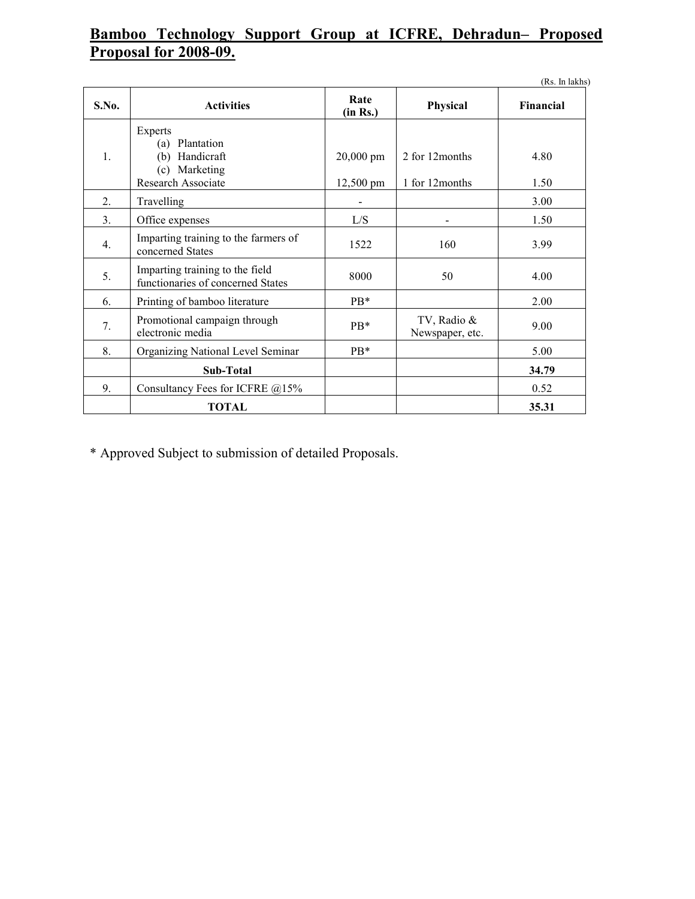# **Bamboo Technology Support Group at ICFRE, Dehradun– Proposed Proposal for 2008-09.**

|                |                                                                                          |                        |                                    | (Rs. In lakhs) |
|----------------|------------------------------------------------------------------------------------------|------------------------|------------------------------------|----------------|
| S.No.          | <b>Activities</b>                                                                        | Rate<br>(in Rs.)       | Physical                           | Financial      |
| $\mathbf{1}$ . | Experts<br>Plantation<br>(a)<br>Handicraft<br>(b)<br>(c) Marketing<br>Research Associate | 20,000 pm<br>12,500 pm | 2 for 12 months<br>1 for 12 months | 4.80<br>1.50   |
| 2.             | Travelling                                                                               |                        |                                    | 3.00           |
| 3.             | Office expenses                                                                          | L/S                    |                                    | 1.50           |
| 4.             | Imparting training to the farmers of<br>concerned States                                 | 1522                   | 160                                | 3.99           |
| 5.             | Imparting training to the field<br>functionaries of concerned States                     | 8000                   | 50                                 | 4.00           |
| 6.             | Printing of bamboo literature                                                            | $PB*$                  |                                    | 2.00           |
| 7.             | Promotional campaign through<br>electronic media                                         | $PB*$                  | TV, Radio &<br>Newspaper, etc.     | 9.00           |
| 8.             | Organizing National Level Seminar                                                        | $PB*$                  |                                    | 5.00           |
|                | Sub-Total                                                                                |                        |                                    | 34.79          |
| 9.             | Consultancy Fees for ICFRE @15%                                                          |                        |                                    | 0.52           |
|                | <b>TOTAL</b>                                                                             |                        |                                    | 35.31          |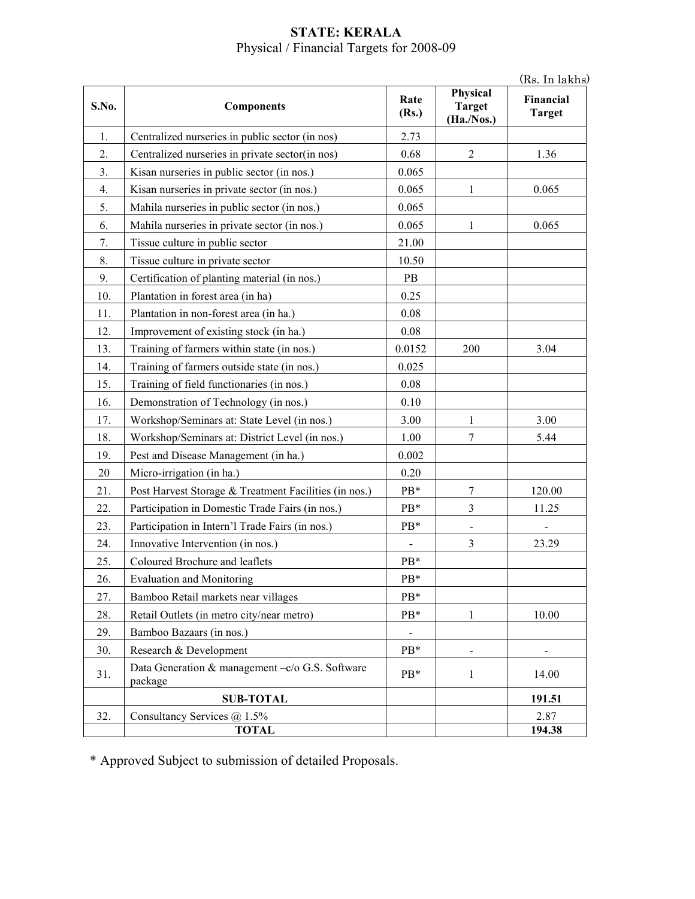#### **STATE: KERALA**  Physical / Financial Targets for 2008-09

(Rs. In lakhs)

| S.No. | <b>Components</b>                                          | Rate<br>(Rs.) | Physical<br><b>Target</b><br>(Ha./Nos.) | (Ks. In lakns<br>Financial<br><b>Target</b> |
|-------|------------------------------------------------------------|---------------|-----------------------------------------|---------------------------------------------|
| 1.    | Centralized nurseries in public sector (in nos)            | 2.73          |                                         |                                             |
| 2.    | Centralized nurseries in private sector(in nos)            | 0.68          | $\overline{2}$                          | 1.36                                        |
| 3.    | Kisan nurseries in public sector (in nos.)                 | 0.065         |                                         |                                             |
| 4.    | Kisan nurseries in private sector (in nos.)                | 0.065         | 1                                       | 0.065                                       |
| 5.    | Mahila nurseries in public sector (in nos.)                | 0.065         |                                         |                                             |
| 6.    | Mahila nurseries in private sector (in nos.)               | 0.065         | 1                                       | 0.065                                       |
| 7.    | Tissue culture in public sector                            | 21.00         |                                         |                                             |
| 8.    | Tissue culture in private sector                           | 10.50         |                                         |                                             |
| 9.    | Certification of planting material (in nos.)               | PB            |                                         |                                             |
| 10.   | Plantation in forest area (in ha)                          | 0.25          |                                         |                                             |
| 11.   | Plantation in non-forest area (in ha.)                     | 0.08          |                                         |                                             |
| 12.   | Improvement of existing stock (in ha.)                     | 0.08          |                                         |                                             |
| 13.   | Training of farmers within state (in nos.)                 | 0.0152        | 200                                     | 3.04                                        |
| 14.   | Training of farmers outside state (in nos.)                | 0.025         |                                         |                                             |
| 15.   | Training of field functionaries (in nos.)                  | 0.08          |                                         |                                             |
| 16.   | Demonstration of Technology (in nos.)                      | 0.10          |                                         |                                             |
| 17.   | Workshop/Seminars at: State Level (in nos.)                | 3.00          | 1                                       | 3.00                                        |
| 18.   | Workshop/Seminars at: District Level (in nos.)             | 1.00          | 7                                       | 5.44                                        |
| 19.   | Pest and Disease Management (in ha.)                       | 0.002         |                                         |                                             |
| 20    | Micro-irrigation (in ha.)                                  | 0.20          |                                         |                                             |
| 21.   | Post Harvest Storage & Treatment Facilities (in nos.)      | PB*           | 7                                       | 120.00                                      |
| 22.   | Participation in Domestic Trade Fairs (in nos.)            | PB*           | $\mathfrak{Z}$                          | 11.25                                       |
| 23.   | Participation in Intern'l Trade Fairs (in nos.)            | PB*           |                                         |                                             |
| 24.   | Innovative Intervention (in nos.)                          |               | 3                                       | 23.29                                       |
| 25.   | Coloured Brochure and leaflets                             | PB*           |                                         |                                             |
| 26.   | <b>Evaluation and Monitoring</b>                           | PB*           |                                         |                                             |
| 27.   | Bamboo Retail markets near villages                        | PB*           |                                         |                                             |
| 28.   | Retail Outlets (in metro city/near metro)                  | PB*           | 1                                       | 10.00                                       |
| 29.   | Bamboo Bazaars (in nos.)                                   |               |                                         |                                             |
| 30.   | Research & Development                                     | $PB*$         |                                         |                                             |
| 31.   | Data Generation & management -c/o G.S. Software<br>package | PB*           | 1                                       | 14.00                                       |
|       | <b>SUB-TOTAL</b>                                           |               |                                         | 191.51                                      |
| 32.   | Consultancy Services @ 1.5%                                |               |                                         | 2.87                                        |
|       | <b>TOTAL</b>                                               |               |                                         | 194.38                                      |